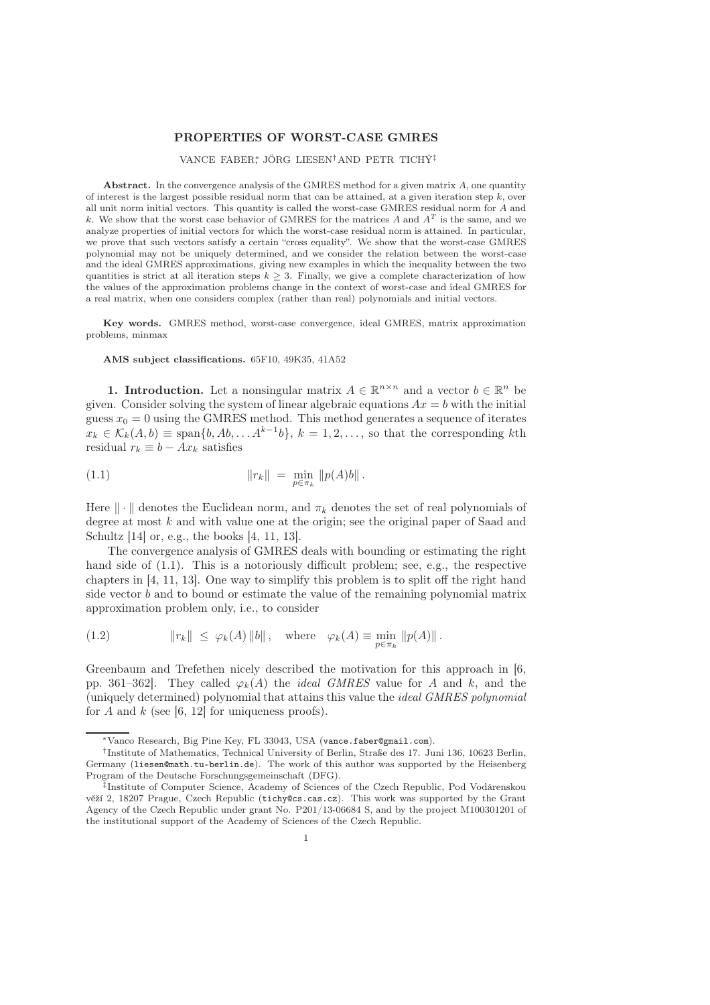## PROPERTIES OF WORST-CASE GMRES

## VANCE FABER<sup>∗</sup> , JÖRG LIESEN†AND PETR TICHÝ‡

Abstract. In the convergence analysis of the GMRES method for a given matrix  $A$ , one quantity of interest is the largest possible residual norm that can be attained, at a given iteration step  $k$ , over all unit norm initial vectors. This quantity is called the worst-case GMRES residual norm for A and k. We show that the worst case behavior of GMRES for the matrices A and  $A<sup>T</sup>$  is the same, and we analyze properties of initial vectors for which the worst-case residual norm is attained. In particular, we prove that such vectors satisfy a certain "cross equality". We show that the worst-case GMRES polynomial may not be uniquely determined, and we consider the relation between the worst-case and the ideal GMRES approximations, giving new examples in which the inequality between the two quantities is strict at all iteration steps  $k \geq 3$ . Finally, we give a complete characterization of how the values of the approximation problems change in the context of worst-case and ideal GMRES for a real matrix, when one considers complex (rather than real) polynomials and initial vectors.

Key words. GMRES method, worst-case convergence, ideal GMRES, matrix approximation problems, minmax

AMS subject classifications. 65F10, 49K35, 41A52

**1. Introduction.** Let a nonsingular matrix  $A \in \mathbb{R}^{n \times n}$  and a vector  $b \in \mathbb{R}^n$  be given. Consider solving the system of linear algebraic equations  $Ax = b$  with the initial guess  $x_0 = 0$  using the GMRES method. This method generates a sequence of iterates  $x_k \in \mathcal{K}_k(A,b) \equiv \text{span}\{b,Ab,\ldots A^{k-1}b\}, k = 1,2,\ldots$ , so that the corresponding kth residual  $r_k \equiv b - Ax_k$  satisfies

(1.1) 
$$
||r_k|| = \min_{p \in \pi_k} ||p(A)b||.
$$

Here  $\|\cdot\|$  denotes the Euclidean norm, and  $\pi_k$  denotes the set of real polynomials of degree at most  $k$  and with value one at the origin; see the original paper of Saad and Schultz [14] or, e.g., the books [4, 11, 13].

The convergence analysis of GMRES deals with bounding or estimating the right hand side of  $(1.1)$ . This is a notoriously difficult problem; see, e.g., the respective chapters in [4, 11, 13]. One way to simplify this problem is to split off the right hand side vector  $b$  and to bound or estimate the value of the remaining polynomial matrix approximation problem only, i.e., to consider

(1.2) 
$$
||r_k|| \leq \varphi_k(A) ||b||, \text{ where } \varphi_k(A) \equiv \min_{p \in \pi_k} ||p(A)||.
$$

Greenbaum and Trefethen nicely described the motivation for this approach in [6, pp. 361–362. They called  $\varphi_k(A)$  the *ideal GMRES* value for A and k, and the (uniquely determined) polynomial that attains this value the ideal GMRES polynomial for A and  $k$  (see [6, 12] for uniqueness proofs).

<sup>∗</sup>Vanco Research, Big Pine Key, FL 33043, USA (vance.faber@gmail.com).

<sup>†</sup> Institute of Mathematics, Technical University of Berlin, Straße des 17. Juni 136, 10623 Berlin, Germany (liesen@math.tu-berlin.de). The work of this author was supported by the Heisenberg Program of the Deutsche Forschungsgemeinschaft (DFG).

<sup>‡</sup> Institute of Computer Science, Academy of Sciences of the Czech Republic, Pod Vodárenskou věží 2, 18207 Prague, Czech Republic (tichy@cs.cas.cz). This work was supported by the Grant Agency of the Czech Republic under grant No. P201/13-06684 S, and by the project M100301201 of the institutional support of the Academy of Sciences of the Czech Republic.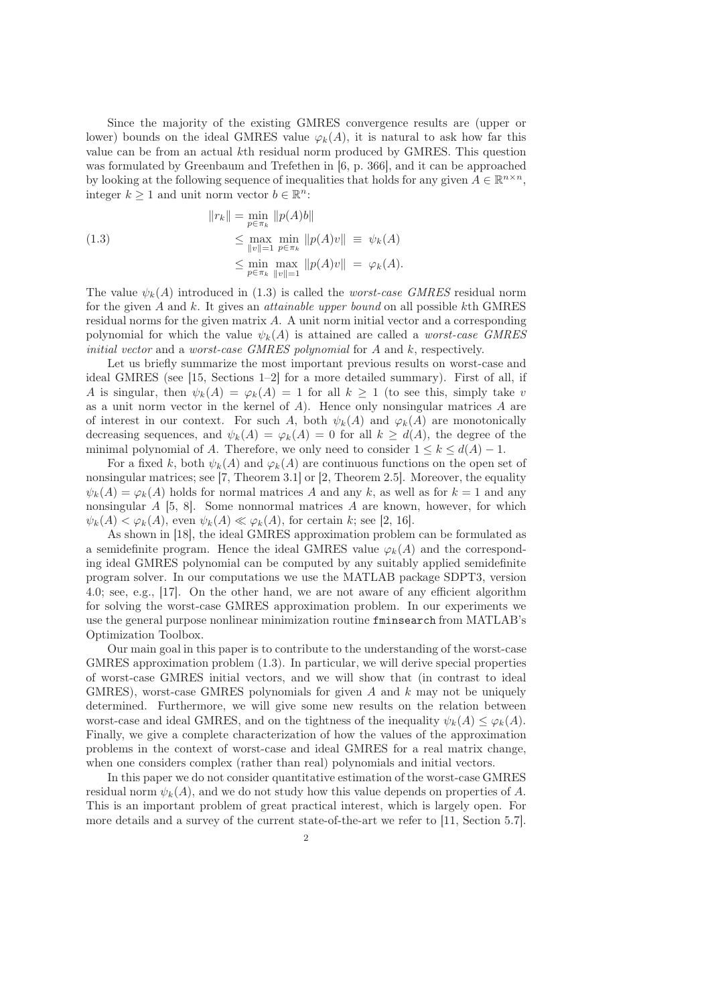Since the majority of the existing GMRES convergence results are (upper or lower) bounds on the ideal GMRES value  $\varphi_k(A)$ , it is natural to ask how far this value can be from an actual kth residual norm produced by GMRES. This question was formulated by Greenbaum and Trefethen in [6, p. 366], and it can be approached by looking at the following sequence of inequalities that holds for any given  $A \in \mathbb{R}^{n \times n}$ , integer  $k \geq 1$  and unit norm vector  $b \in \mathbb{R}^n$ :

(1.3)  
\n
$$
||r_{k}|| = \min_{p \in \pi_{k}} ||p(A)b||
$$
\n
$$
\leq \max_{||v||=1} \min_{p \in \pi_{k}} ||p(A)v|| \equiv \psi_{k}(A)
$$
\n
$$
\leq \min_{p \in \pi_{k}} \max_{||v||=1} ||p(A)v|| = \varphi_{k}(A).
$$

The value  $\psi_k(A)$  introduced in (1.3) is called the *worst-case GMRES* residual norm for the given A and k. It gives an attainable upper bound on all possible kth GMRES residual norms for the given matrix  $A$ . A unit norm initial vector and a corresponding polynomial for which the value  $\psi_k(A)$  is attained are called a *worst-case GMRES* initial vector and a worst-case GMRES polynomial for A and k, respectively.

Let us briefly summarize the most important previous results on worst-case and ideal GMRES (see [15, Sections 1–2] for a more detailed summary). First of all, if A is singular, then  $\psi_k(A) = \varphi_k(A) = 1$  for all  $k \geq 1$  (to see this, simply take v as a unit norm vector in the kernel of A). Hence only nonsingular matrices A are of interest in our context. For such A, both  $\psi_k(A)$  and  $\varphi_k(A)$  are monotonically decreasing sequences, and  $\psi_k(A) = \varphi_k(A) = 0$  for all  $k \ge d(A)$ , the degree of the minimal polynomial of A. Therefore, we only need to consider  $1 \leq k \leq d(A) - 1$ .

For a fixed k, both  $\psi_k(A)$  and  $\varphi_k(A)$  are continuous functions on the open set of nonsingular matrices; see [7, Theorem 3.1] or [2, Theorem 2.5]. Moreover, the equality  $\psi_k(A) = \varphi_k(A)$  holds for normal matrices A and any k, as well as for  $k = 1$  and any nonsingular  $A$  [5, 8]. Some nonnormal matrices  $A$  are known, however, for which  $\psi_k(A) < \varphi_k(A)$ , even  $\psi_k(A) \ll \varphi_k(A)$ , for certain k; see [2, 16].

As shown in [18], the ideal GMRES approximation problem can be formulated as a semidefinite program. Hence the ideal GMRES value  $\varphi_k(A)$  and the corresponding ideal GMRES polynomial can be computed by any suitably applied semidefinite program solver. In our computations we use the MATLAB package SDPT3, version 4.0; see, e.g., [17]. On the other hand, we are not aware of any efficient algorithm for solving the worst-case GMRES approximation problem. In our experiments we use the general purpose nonlinear minimization routine fminsearch from MATLAB's Optimization Toolbox.

Our main goal in this paper is to contribute to the understanding of the worst-case GMRES approximation problem (1.3). In particular, we will derive special properties of worst-case GMRES initial vectors, and we will show that (in contrast to ideal GMRES), worst-case GMRES polynomials for given A and  $k$  may not be uniquely determined. Furthermore, we will give some new results on the relation between worst-case and ideal GMRES, and on the tightness of the inequality  $\psi_k(A) \leq \varphi_k(A)$ . Finally, we give a complete characterization of how the values of the approximation problems in the context of worst-case and ideal GMRES for a real matrix change, when one considers complex (rather than real) polynomials and initial vectors.

In this paper we do not consider quantitative estimation of the worst-case GMRES residual norm  $\psi_k(A)$ , and we do not study how this value depends on properties of A. This is an important problem of great practical interest, which is largely open. For more details and a survey of the current state-of-the-art we refer to [11, Section 5.7].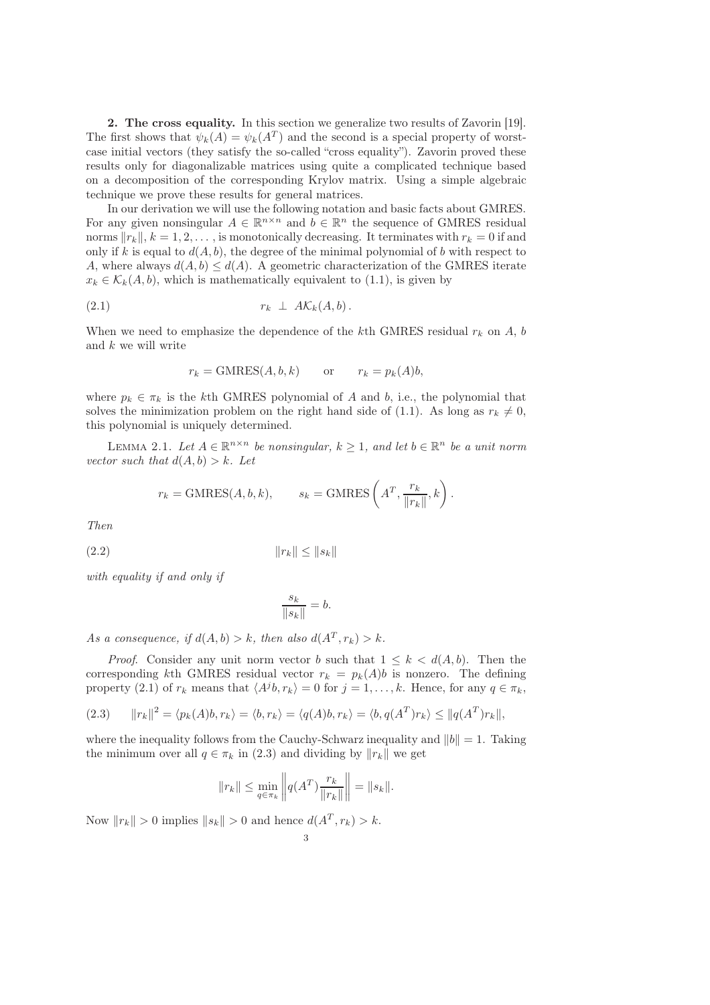2. The cross equality. In this section we generalize two results of Zavorin [19]. The first shows that  $\psi_k(A) = \psi_k(A^T)$  and the second is a special property of worstcase initial vectors (they satisfy the so-called "cross equality"). Zavorin proved these results only for diagonalizable matrices using quite a complicated technique based on a decomposition of the corresponding Krylov matrix. Using a simple algebraic technique we prove these results for general matrices.

In our derivation we will use the following notation and basic facts about GMRES. For any given nonsingular  $A \in \mathbb{R}^{n \times n}$  and  $b \in \mathbb{R}^n$  the sequence of GMRES residual norms  $||r_k||$ ,  $k = 1, 2, \ldots$ , is monotonically decreasing. It terminates with  $r_k = 0$  if and only if k is equal to  $d(A, b)$ , the degree of the minimal polynomial of b with respect to A, where always  $d(A, b) \leq d(A)$ . A geometric characterization of the GMRES iterate  $x_k \in \mathcal{K}_k(A, b)$ , which is mathematically equivalent to (1.1), is given by

$$
(2.1) \t\t\t r_k \perp A\mathcal{K}_k(A,b).
$$

When we need to emphasize the dependence of the kth GMRES residual  $r_k$  on A, b and k we will write

$$
r_k = \text{GMRES}(A, b, k)
$$
 or  $r_k = p_k(A)b$ ,

where  $p_k \in \pi_k$  is the kth GMRES polynomial of A and b, i.e., the polynomial that solves the minimization problem on the right hand side of (1.1). As long as  $r_k \neq 0$ , this polynomial is uniquely determined.

LEMMA 2.1. Let  $A \in \mathbb{R}^{n \times n}$  be nonsingular,  $k \geq 1$ , and let  $b \in \mathbb{R}^n$  be a unit norm vector such that  $d(A, b) > k$ . Let

$$
r_k = \text{GMRES}(A, b, k), \qquad s_k = \text{GMRES}\left(A^T, \frac{r_k}{\|r_k\|}, k\right).
$$

Then

$$
(2.2) \t\t\t\t ||r_k|| \le ||s_k||
$$

with equality if and only if

$$
\frac{s_k}{\|s_k\|} = b.
$$

As a consequence, if  $d(A, b) > k$ , then also  $d(A^T, r_k) > k$ .

*Proof.* Consider any unit norm vector b such that  $1 \leq k \leq d(A, b)$ . Then the corresponding kth GMRES residual vector  $r_k = p_k(A)b$  is nonzero. The defining property (2.1) of  $r_k$  means that  $\langle A^j b, r_k \rangle = 0$  for  $j = 1, ..., k$ . Hence, for any  $q \in \pi_k$ ,

(2.3) 
$$
||r_k||^2 = \langle p_k(A)b, r_k \rangle = \langle b, r_k \rangle = \langle q(A)b, r_k \rangle = \langle b, q(A^T)r_k \rangle \le ||q(A^T)r_k||,
$$

where the inequality follows from the Cauchy-Schwarz inequality and  $||b|| = 1$ . Taking the minimum over all  $q \in \pi_k$  in (2.3) and dividing by  $||r_k||$  we get

$$
||r_k|| \le \min_{q \in \pi_k} ||q(A^T)\frac{r_k}{||r_k||}|| = ||s_k||.
$$

Now  $||r_k|| > 0$  implies  $||s_k|| > 0$  and hence  $d(A^T, r_k) > k$ .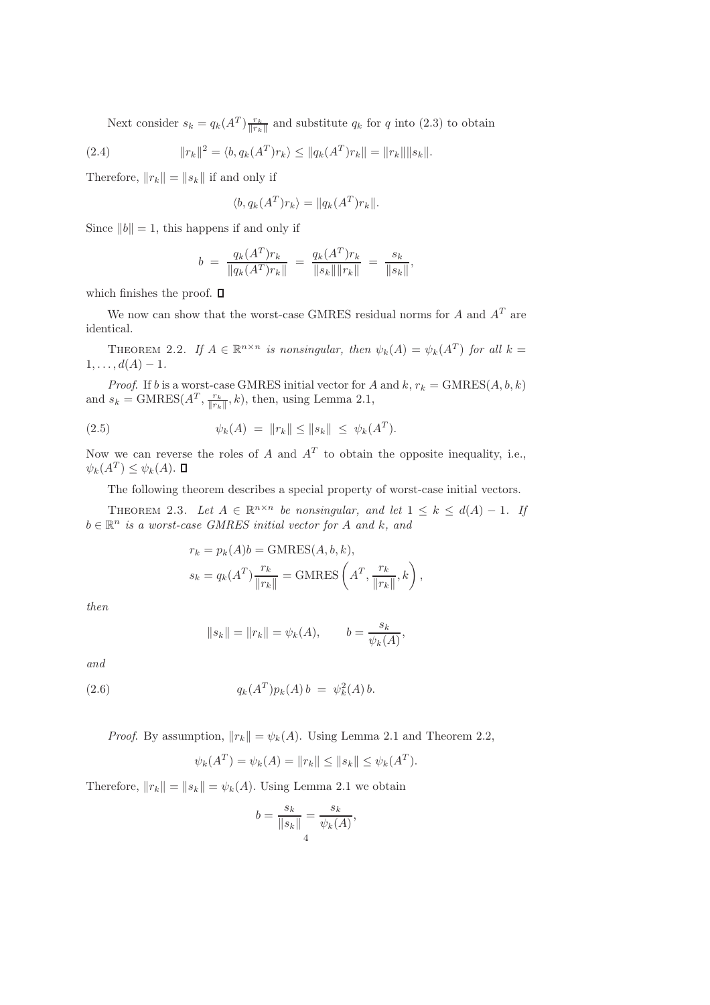Next consider  $s_k = q_k(A^T) \frac{r_k}{\|r_k\|}$  and substitute  $q_k$  for q into (2.3) to obtain

(2.4) 
$$
||r_k||^2 = \langle b, q_k(A^T)r_k \rangle \le ||q_k(A^T)r_k|| = ||r_k|| ||s_k||.
$$

Therefore,  $||r_k|| = ||s_k||$  if and only if

$$
\langle b, q_k(A^T) r_k \rangle = ||q_k(A^T) r_k||.
$$

Since  $||b|| = 1$ , this happens if and only if

$$
b = \frac{q_k(A^T)r_k}{\|q_k(A^T)r_k\|} = \frac{q_k(A^T)r_k}{\|s_k\|\|r_k\|} = \frac{s_k}{\|s_k\|},
$$

which finishes the proof.  $\Box$ 

We now can show that the worst-case GMRES residual norms for  $A$  and  $A<sup>T</sup>$  are identical.

THEOREM 2.2. If  $A \in \mathbb{R}^{n \times n}$  is nonsingular, then  $\psi_k(A) = \psi_k(A^T)$  for all  $k =$  $1, \ldots, d(A) - 1.$ 

*Proof.* If b is a worst-case GMRES initial vector for A and  $k, r_k = \text{GMRES}(A, b, k)$ and  $s_k = \text{GMRES}(A^T, \frac{r_k}{\|r_k\|}, k)$ , then, using Lemma 2.1,

(2.5) 
$$
\psi_k(A) = \|r_k\| \le \|s_k\| \le \psi_k(A^T).
$$

Now we can reverse the roles of A and  $A<sup>T</sup>$  to obtain the opposite inequality, i.e.,  $\psi_k(A^T) \leq \psi_k(A).$ 

The following theorem describes a special property of worst-case initial vectors.

THEOREM 2.3. Let  $A \in \mathbb{R}^{n \times n}$  be nonsingular, and let  $1 \leq k \leq d(A) - 1$ . If  $b \in \mathbb{R}^n$  is a worst-case GMRES initial vector for A and k, and

$$
r_k = p_k(A)b = \text{GMRES}(A, b, k),
$$
  

$$
s_k = q_k(A^T) \frac{r_k}{\|r_k\|} = \text{GMRES}\left(A^T, \frac{r_k}{\|r_k\|}, k\right),
$$

then

$$
||s_k|| = ||r_k|| = \psi_k(A),
$$
  $b = \frac{s_k}{\psi_k(A)},$ 

and

(2.6) 
$$
q_k(A^T) p_k(A) b = \psi_k^2(A) b.
$$

*Proof.* By assumption,  $||r_k|| = \psi_k(A)$ . Using Lemma 2.1 and Theorem 2.2,

$$
\psi_k(A^T) = \psi_k(A) = ||r_k|| \le ||s_k|| \le \psi_k(A^T).
$$

Therefore,  $||r_k|| = ||s_k|| = \psi_k(A)$ . Using Lemma 2.1 we obtain

$$
b = \frac{s_k}{\|s_k\|} = \frac{s_k}{\psi_k(A)},
$$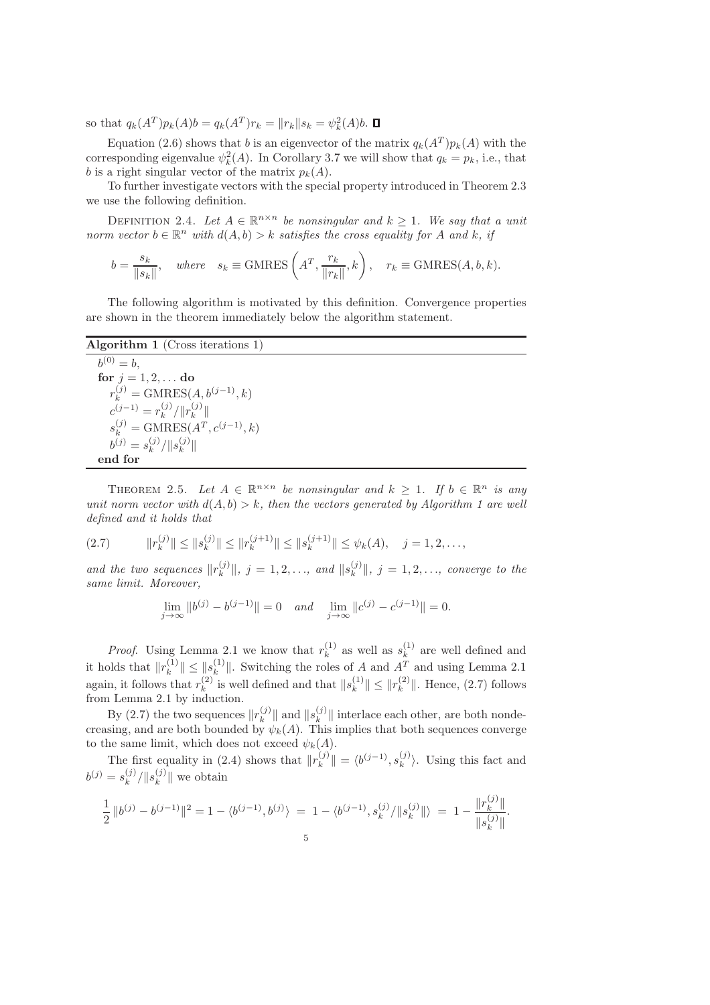so that  $q_k(A^T)p_k(A)b = q_k(A^T)r_k = ||r_k||s_k = \psi_k^2(A)b$ .

Equation (2.6) shows that b is an eigenvector of the matrix  $q_k(A^T)p_k(A)$  with the corresponding eigenvalue  $\psi_k^2(A)$ . In Corollary 3.7 we will show that  $q_k = p_k$ , i.e., that b is a right singular vector of the matrix  $p_k(A)$ .

To further investigate vectors with the special property introduced in Theorem 2.3 we use the following definition.

DEFINITION 2.4. Let  $A \in \mathbb{R}^{n \times n}$  be nonsingular and  $k \geq 1$ . We say that a unit norm vector  $b \in \mathbb{R}^n$  with  $d(A, b) > k$  satisfies the cross equality for A and k, if

$$
b = \frac{s_k}{\|s_k\|}
$$
, where  $s_k \equiv$  GMRES $\left(A^T, \frac{r_k}{\|r_k\|}, k\right)$ ,  $r_k \equiv$  GMRES $(A, b, k)$ .

The following algorithm is motivated by this definition. Convergence properties are shown in the theorem immediately below the algorithm statement.

## Algorithm 1 (Cross iterations 1)

 $b^{(0)} = b,$ for  $j = 1, 2, \ldots$  do  $r_k^{(j)} = \text{GMRES}(A, b^{(j-1)}, k)$  $c^{(j-1)} = r_k^{(j)}$  $\binom{(j)}{k}/\|r^{(j)}_k\|$  $\binom{J}{k}$  $s_k^{(j)} = \text{GMRES}(A^T, c^{(j-1)}, k)$  $b^{(j)} = s_k^{(j)}$  $_{k}^{(j)}/\|s_{k}^{(j)}$  $\binom{J}{k}$ end for

THEOREM 2.5. Let  $A \in \mathbb{R}^{n \times n}$  be nonsingular and  $k \geq 1$ . If  $b \in \mathbb{R}^n$  is any unit norm vector with  $d(A, b) > k$ , then the vectors generated by Algorithm 1 are well defined and it holds that

$$
(2.7) \t\t ||r_k^{(j)}|| \le ||s_k^{(j)}|| \le ||r_k^{(j+1)}|| \le ||s_k^{(j+1)}|| \le \psi_k(A), \quad j = 1, 2, \dots,
$$

and the two sequences  $||r_k^{(j)}||$  $\|s_k^{(j)}\|, j = 1, 2, \ldots, \text{ and } \|s_k^{(j)}\|$  $\|x\|_{k}$ ,  $j = 1, 2, \ldots$ , converge to the same limit. Moreover,

$$
\lim_{j \to \infty} \|b^{(j)} - b^{(j-1)}\| = 0 \quad \text{and} \quad \lim_{j \to \infty} \|c^{(j)} - c^{(j-1)}\| = 0.
$$

*Proof.* Using Lemma 2.1 we know that  $r_k^{(1)}$  $s_k^{(1)}$  as well as  $s_k^{(1)}$  $k^{(1)}$  are well defined and it holds that  $||r_k^{(1)}||$  $\|k^{(1)}\| \leq \|s_k^{(1)}\|$ <sup>(1)</sup><sub>k</sub>. Switching the roles of A and  $A<sup>T</sup>$  and using Lemma 2.1 again, it follows that  $r_k^{(2)}$  $\binom{(2)}{k}$  is well defined and that  $\|s_k^{(1)}\|$  $\|k^{(1)}\| \leq \|r_k^{(2)}\|$  $\binom{2}{k}$ . Hence,  $(2.7)$  follows from Lemma 2.1 by induction.

By (2.7) the two sequences  $||r_k^{(j)}||$  $\binom{(j)}{k}$  and  $\|s_k^{(j)}\|$  $\|k^{\{U\}}\|$  interlace each other, are both nondecreasing, and are both bounded by  $\psi_k(A)$ . This implies that both sequences converge to the same limit, which does not exceed  $\psi_k(A)$ .

The first equality in (2.4) shows that  $||r_k^{(j)}||$  $\|k^{(j)}\| = \langle b^{(j-1)}, s_k^{(j)}\rangle$  $\binom{U}{k}$ . Using this fact and  $b^{(j)} = s_k^{(j)}$  $_{k}^{(j)}/\|s_{k}^{(j)}$  $\|k^{\left(\mathcal{J}\right)}\|$  we obtain

$$
\frac{1}{2} ||b^{(j)} - b^{(j-1)}||^2 = 1 - \langle b^{(j-1)}, b^{(j)} \rangle = 1 - \langle b^{(j-1)}, s_k^{(j)} / ||s_k^{(j)}|| \rangle = 1 - \frac{||r_k^{(j)}||}{||s_k^{(j)}||}.
$$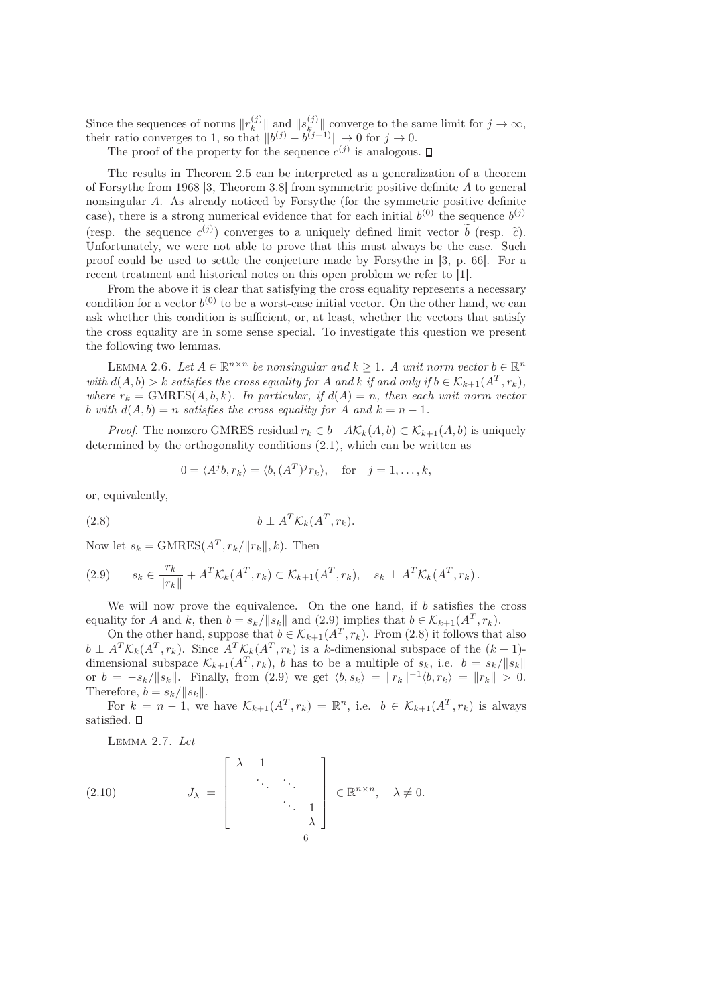Since the sequences of norms  $||r_k^{(j)}||$  $\binom{j}{k}$  and  $\|s_k^{(j)}\|$  $\|y\|_{\mathcal{R}}$  converge to the same limit for  $j \to \infty$ , their ratio converges to 1, so that  $||b^{(j)} - b^{(j-1)}|| \to 0$  for  $j \to 0$ .

The proof of the property for the sequence  $c^{(j)}$  is analogous.

The results in Theorem 2.5 can be interpreted as a generalization of a theorem of Forsythe from 1968 [3, Theorem 3.8] from symmetric positive definite A to general nonsingular A. As already noticed by Forsythe (for the symmetric positive definite case), there is a strong numerical evidence that for each initial  $b^{(0)}$  the sequence  $b^{(j)}$ (resp. the sequence  $c^{(j)}$ ) converges to a uniquely defined limit vector  $\vec{b}$  (resp.  $\tilde{c}$ ). Unfortunately, we were not able to prove that this must always be the case. Such proof could be used to settle the conjecture made by Forsythe in [3, p. 66]. For a recent treatment and historical notes on this open problem we refer to [1].

From the above it is clear that satisfying the cross equality represents a necessary condition for a vector  $b^{(0)}$  to be a worst-case initial vector. On the other hand, we can ask whether this condition is sufficient, or, at least, whether the vectors that satisfy the cross equality are in some sense special. To investigate this question we present the following two lemmas.

LEMMA 2.6. Let  $A \in \mathbb{R}^{n \times n}$  be nonsingular and  $k \geq 1$ . A unit norm vector  $b \in \mathbb{R}^n$ with  $d(A, b) > k$  satisfies the cross equality for A and k if and only if  $b \in \mathcal{K}_{k+1}(A^T, r_k)$ , where  $r_k = \text{GMRES}(A, b, k)$ . In particular, if  $d(A) = n$ , then each unit norm vector b with  $d(A, b) = n$  satisfies the cross equality for A and  $k = n - 1$ .

*Proof.* The nonzero GMRES residual  $r_k \in b + AK_k(A,b) \subset K_{k+1}(A,b)$  is uniquely determined by the orthogonality conditions (2.1), which can be written as

$$
0 = \langle A^j b, r_k \rangle = \langle b, (A^T)^j r_k \rangle, \quad \text{for} \quad j = 1, \dots, k,
$$

or, equivalently,

$$
(2.8) \t\t b \perp A^T \mathcal{K}_k(A^T, r_k).
$$

Now let  $s_k = \text{GMRES}(A^T, r_k / ||r_k||, k)$ . Then

(2.9) 
$$
s_k \in \frac{r_k}{\|r_k\|} + A^T \mathcal{K}_k(A^T, r_k) \subset \mathcal{K}_{k+1}(A^T, r_k), \quad s_k \perp A^T \mathcal{K}_k(A^T, r_k).
$$

We will now prove the equivalence. On the one hand, if  $b$  satisfies the cross equality for A and k, then  $b = s_k / ||s_k||$  and (2.9) implies that  $b \in \mathcal{K}_{k+1}(A^T, r_k)$ .

On the other hand, suppose that  $b \in \mathcal{K}_{k+1}(A^T, r_k)$ . From (2.8) it follows that also  $b \perp A^T \mathcal{K}_k(A^T, r_k)$ . Since  $A^T \mathcal{K}_k(A^T, r_k)$  is a k-dimensional subspace of the  $(k+1)$ dimensional subspace  $\mathcal{K}_{k+1}(A^T, r_k)$ , b has to be a multiple of  $s_k$ , i.e.  $b = s_k / ||s_k||$ or  $b = -s_k/||s_k||$ . Finally, from (2.9) we get  $\langle b, s_k \rangle = ||r_k||^{-1} \langle b, r_k \rangle = ||r_k|| > 0$ . Therefore,  $b = s_k / ||s_k||$ .

For  $k = n - 1$ , we have  $\mathcal{K}_{k+1}(A^T, r_k) = \mathbb{R}^n$ , i.e.  $b \in \mathcal{K}_{k+1}(A^T, r_k)$  is always satisfied.  $\square$ 

Lemma 2.7. Let

(2.10) 
$$
J_{\lambda} = \begin{bmatrix} \lambda & 1 & & \\ & \ddots & \ddots & \\ & & \ddots & 1 \\ & & & \lambda \end{bmatrix} \in \mathbb{R}^{n \times n}, \quad \lambda \neq 0.
$$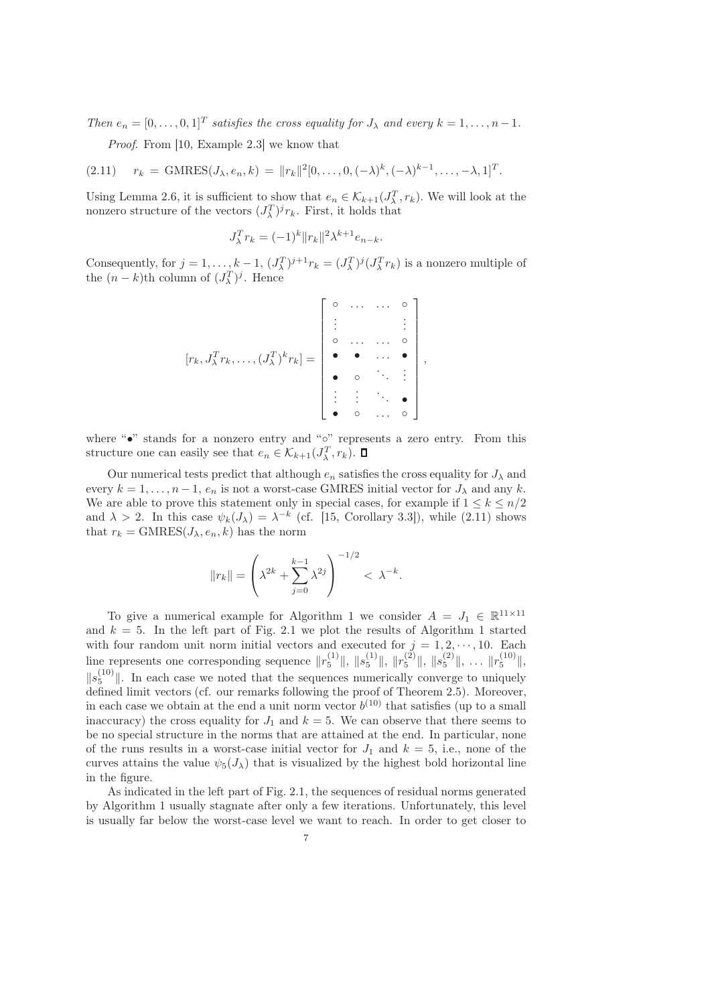Then  $e_n = [0, \ldots, 0, 1]^T$  satisfies the cross equality for  $J_\lambda$  and every  $k = 1, \ldots, n-1$ .

Proof. From [10, Example 2.3] we know that

(2.11)  $r_k = \text{GMRES}(J_\lambda, e_n, k) = ||r_k||^2 [0, \dots, 0, (-\lambda)^k, (-\lambda)^{k-1}, \dots, -\lambda, 1]^T.$ 

Using Lemma 2.6, it is sufficient to show that  $e_n \in \mathcal{K}_{k+1}(J_\lambda^T, r_k)$ . We will look at the nonzero structure of the vectors  $(J_{\lambda}^T)^j r_k$ . First, it holds that

$$
J_{\lambda}^{T}r_{k} = (-1)^{k} \|r_{k}\|^{2} \lambda^{k+1} e_{n-k}.
$$

Consequently, for  $j = 1, ..., k-1$ ,  $(J_{\lambda}^T)^{j+1}r_k = (J_{\lambda}^T)^j(J_{\lambda}^T r_k)$  is a nonzero multiple of the  $(n - k)$ th column of  $(J_\lambda^T)^j$ . Hence

$$
[r_k, J_{\lambda}^T r_k, \dots, (J_{\lambda}^T)^k r_k] = \begin{bmatrix} \circ & \dots & \dots & \circ \\ \vdots & & & \vdots \\ \circ & \dots & \dots & \circ \\ \bullet & \bullet & \dots & \bullet \\ \bullet & \circ & \ddots & \vdots \\ \vdots & \vdots & \ddots & \bullet \\ \bullet & \circ & \dots & \circ \end{bmatrix},
$$

where "•" stands for a nonzero entry and "◦" represents a zero entry. From this structure one can easily see that  $e_n \in \mathcal{K}_{k+1}(J_\lambda^T, r_k)$ .

Our numerical tests predict that although  $e_n$  satisfies the cross equality for  $J_\lambda$  and every  $k = 1, \ldots, n-1, e_n$  is not a worst-case GMRES initial vector for  $J_\lambda$  and any k. We are able to prove this statement only in special cases, for example if  $1 \leq k \leq n/2$ and  $\lambda > 2$ . In this case  $\psi_k(J_\lambda) = \lambda^{-k}$  (cf. [15, Corollary 3.3]), while (2.11) shows that  $r_k = \text{GMRES}(J_\lambda, e_n, k)$  has the norm

$$
||r_k|| = \left(\lambda^{2k} + \sum_{j=0}^{k-1} \lambda^{2j}\right)^{-1/2} < \lambda^{-k}.
$$

To give a numerical example for Algorithm 1 we consider  $A = J_1 \in \mathbb{R}^{11 \times 11}$ and  $k = 5$ . In the left part of Fig. 2.1 we plot the results of Algorithm 1 started with four random unit norm initial vectors and executed for  $j = 1, 2, \dots, 10$ . Each line represents one corresponding sequence  $||r_5^{(1)}||$ ,  $||s_5^{(1)}||$ ,  $||r_5^{(2)}||$ ,  $||s_5^{(2)}||$ , ...  $||r_5^{(10)}||$ ,  $||s_5^{(10)}||$ . In each case we noted that the sequences numerically converge to uniquely defined limit vectors (cf. our remarks following the proof of Theorem 2.5). Moreover, in each case we obtain at the end a unit norm vector  $b^{(10)}$  that satisfies (up to a small inaccuracy) the cross equality for  $J_1$  and  $k = 5$ . We can observe that there seems to be no special structure in the norms that are attained at the end. In particular, none of the runs results in a worst-case initial vector for  $J_1$  and  $k = 5$ , i.e., none of the curves attains the value  $\psi_5(J_\lambda)$  that is visualized by the highest bold horizontal line in the figure.

As indicated in the left part of Fig. 2.1, the sequences of residual norms generated by Algorithm 1 usually stagnate after only a few iterations. Unfortunately, this level is usually far below the worst-case level we want to reach. In order to get closer to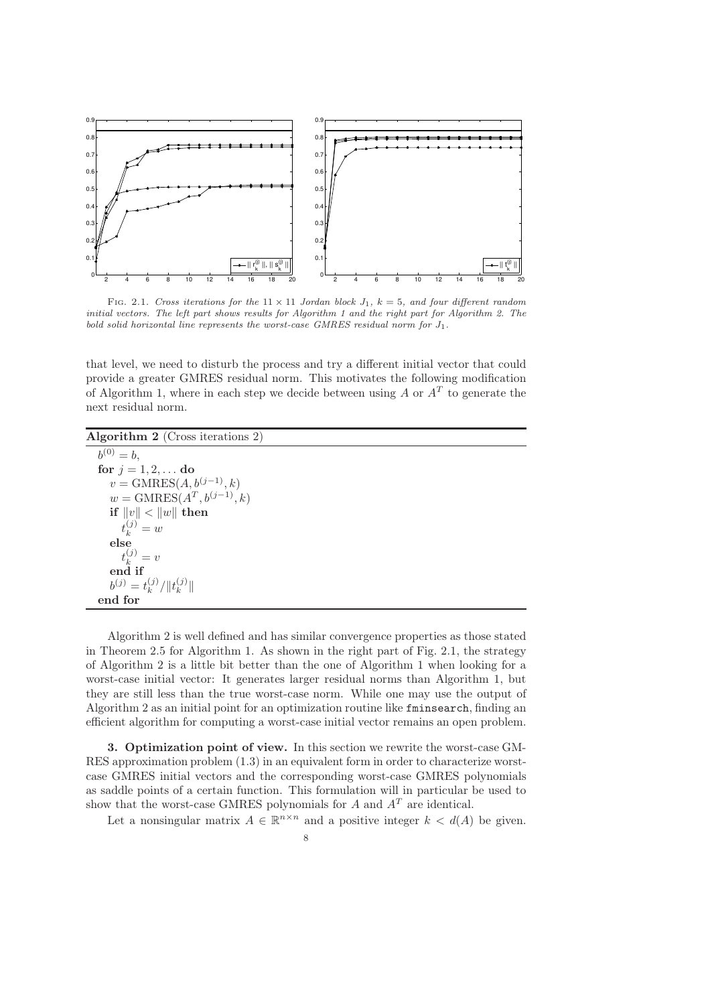

FIG. 2.1. Cross iterations for the  $11 \times 11$  Jordan block  $J_1$ ,  $k = 5$ , and four different random initial vectors. The left part shows results for Algorithm 1 and the right part for Algorithm 2. The bold solid horizontal line represents the worst-case GMRES residual norm for  $J_1$ .

that level, we need to disturb the process and try a different initial vector that could provide a greater GMRES residual norm. This motivates the following modification of Algorithm 1, where in each step we decide between using  $A$  or  $A<sup>T</sup>$  to generate the next residual norm.

Algorithm 2 (Cross iterations 2)

 $b^{(0)} = b,$ for  $j = 1, 2, \ldots$  do  $v = \text{GMRES}(A, b^{(j-1)}, k)$  $w = \text{GMRES}(A^T, b^{(j-1)}, k)$ if  $||v|| < ||w||$  then  $t_k^{(j)} = w$ else  $t_k^{(j)} = v$ end if  $b^{(j)} = t_k^{(j)}$  $_{k}^{\left( j\right)}/\Vert t_{k}^{\left( j\right) }$  $\binom{J}{k}$ end for

Algorithm 2 is well defined and has similar convergence properties as those stated in Theorem 2.5 for Algorithm 1. As shown in the right part of Fig. 2.1, the strategy of Algorithm 2 is a little bit better than the one of Algorithm 1 when looking for a worst-case initial vector: It generates larger residual norms than Algorithm 1, but they are still less than the true worst-case norm. While one may use the output of Algorithm 2 as an initial point for an optimization routine like fminsearch, finding an efficient algorithm for computing a worst-case initial vector remains an open problem.

3. Optimization point of view. In this section we rewrite the worst-case GM-RES approximation problem (1.3) in an equivalent form in order to characterize worstcase GMRES initial vectors and the corresponding worst-case GMRES polynomials as saddle points of a certain function. This formulation will in particular be used to show that the worst-case GMRES polynomials for  $A$  and  $A<sup>T</sup>$  are identical.

Let a nonsingular matrix  $A \in \mathbb{R}^{n \times n}$  and a positive integer  $k < d(A)$  be given.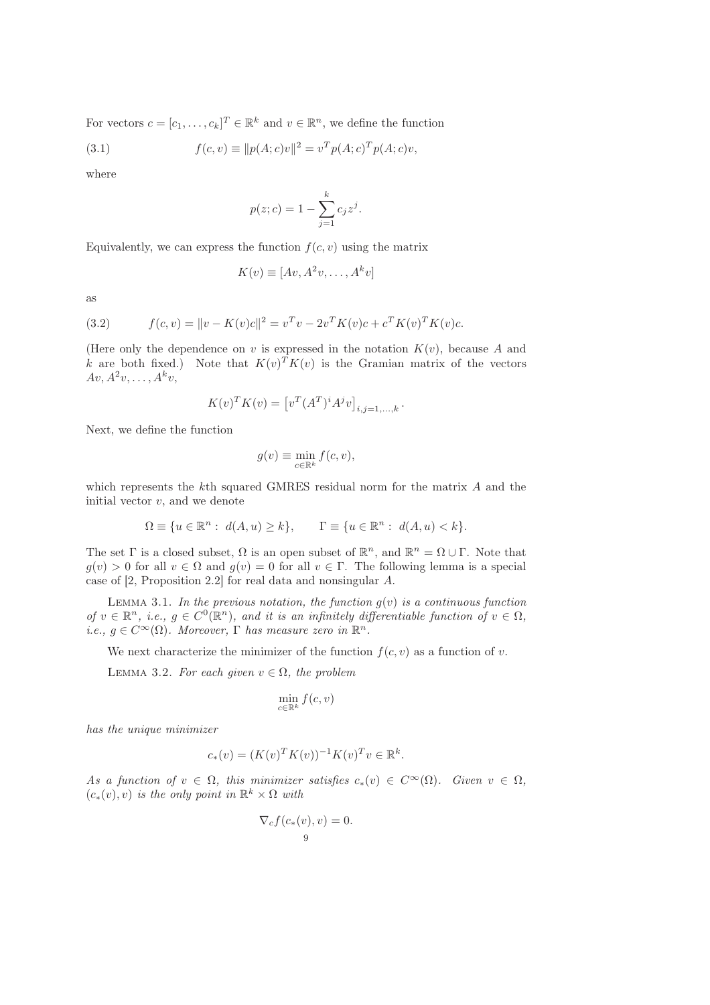For vectors  $c = [c_1, \ldots, c_k]^T \in \mathbb{R}^k$  and  $v \in \mathbb{R}^n$ , we define the function

(3.1) 
$$
f(c, v) \equiv ||p(A; c)v||^2 = v^T p(A; c)^T p(A; c)v,
$$

where

$$
p(z; c) = 1 - \sum_{j=1}^{k} c_j z^j.
$$

Equivalently, we can express the function  $f(c, v)$  using the matrix

$$
K(v) \equiv [Av, A^2v, \dots, A^kv]
$$

as

(3.2) 
$$
f(c,v) = ||v - K(v)c||^2 = v^T v - 2v^T K(v)c + c^T K(v)^T K(v)c.
$$

(Here only the dependence on v is expressed in the notation  $K(v)$ , because A and k are both fixed.) Note that  $K(v)^T K(v)$  is the Gramian matrix of the vectors  $Av, A^2v, \ldots, A^kv,$ 

$$
K(v)^T K(v) = [v^T (A^T)^i A^j v]_{i,j=1,...,k}.
$$

Next, we define the function

$$
g(v) \equiv \min_{c \in \mathbb{R}^k} f(c, v),
$$

which represents the kth squared GMRES residual norm for the matrix A and the initial vector  $v$ , and we denote

$$
\Omega \equiv \{ u \in \mathbb{R}^n : d(A, u) \ge k \}, \qquad \Gamma \equiv \{ u \in \mathbb{R}^n : d(A, u) < k \}.
$$

The set  $\Gamma$  is a closed subset,  $\Omega$  is an open subset of  $\mathbb{R}^n$ , and  $\mathbb{R}^n = \Omega \cup \Gamma$ . Note that  $g(v) > 0$  for all  $v \in \Omega$  and  $g(v) = 0$  for all  $v \in \Gamma$ . The following lemma is a special case of [2, Proposition 2.2] for real data and nonsingular A.

LEMMA 3.1. In the previous notation, the function  $g(v)$  is a continuous function of  $v \in \mathbb{R}^n$ , i.e.,  $g \in C^0(\mathbb{R}^n)$ , and it is an infinitely differentiable function of  $v \in \Omega$ , i.e.,  $g \in C^{\infty}(\Omega)$ . Moreover,  $\Gamma$  has measure zero in  $\mathbb{R}^n$ .

We next characterize the minimizer of the function  $f(c, v)$  as a function of v.

LEMMA 3.2. For each given  $v \in \Omega$ , the problem

$$
\min_{c \in \mathbb{R}^k} f(c, v)
$$

has the unique minimizer

$$
c_*(v) = (K(v)^T K(v))^{-1} K(v)^T v \in \mathbb{R}^k.
$$

As a function of  $v \in \Omega$ , this minimizer satisfies  $c_*(v) \in C^{\infty}(\Omega)$ . Given  $v \in \Omega$ ,  $(c_*(v), v)$  is the only point in  $\mathbb{R}^k \times \Omega$  with

$$
\nabla_c f(c_*(v), v) = 0.
$$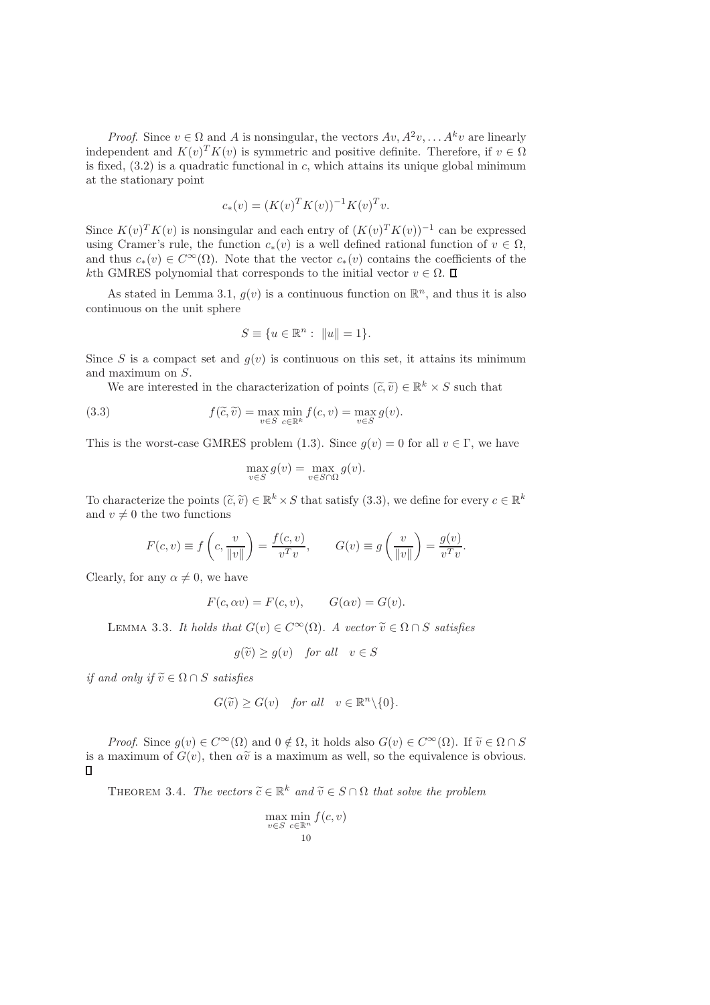*Proof.* Since  $v \in \Omega$  and A is nonsingular, the vectors  $Av, A^2v, \ldots, A^kv$  are linearly independent and  $K(v)^T K(v)$  is symmetric and positive definite. Therefore, if  $v \in \Omega$ is fixed,  $(3.2)$  is a quadratic functional in c, which attains its unique global minimum at the stationary point

$$
c_*(v) = (K(v)^T K(v))^{-1} K(v)^T v.
$$

Since  $K(v)^T K(v)$  is nonsingular and each entry of  $(K(v)^T K(v))^{-1}$  can be expressed using Cramer's rule, the function  $c_*(v)$  is a well defined rational function of  $v \in \Omega$ , and thus  $c_*(v) \in C^\infty(\Omega)$ . Note that the vector  $c_*(v)$  contains the coefficients of the kth GMRES polynomial that corresponds to the initial vector  $v \in \Omega$ .

As stated in Lemma 3.1,  $g(v)$  is a continuous function on  $\mathbb{R}^n$ , and thus it is also continuous on the unit sphere

$$
S \equiv \{ u \in \mathbb{R}^n : ||u|| = 1 \}.
$$

Since S is a compact set and  $g(v)$  is continuous on this set, it attains its minimum and maximum on S.

We are interested in the characterization of points  $(\tilde{c}, \tilde{v}) \in \mathbb{R}^k \times S$  such that

(3.3) 
$$
f(\tilde{c}, \tilde{v}) = \max_{v \in S} \min_{c \in \mathbb{R}^k} f(c, v) = \max_{v \in S} g(v).
$$

This is the worst-case GMRES problem (1.3). Since  $g(v) = 0$  for all  $v \in \Gamma$ , we have

$$
\max_{v \in S} g(v) = \max_{v \in S \cap \Omega} g(v).
$$

To characterize the points  $(\tilde{c}, \tilde{v}) \in \mathbb{R}^k \times S$  that satisfy (3.3), we define for every  $c \in \mathbb{R}^k$ and  $v \neq 0$  the two functions

$$
F(c, v) \equiv f\left(c, \frac{v}{\|v\|}\right) = \frac{f(c, v)}{v^T v}, \qquad G(v) \equiv g\left(\frac{v}{\|v\|}\right) = \frac{g(v)}{v^T v}.
$$

Clearly, for any  $\alpha \neq 0$ , we have

$$
F(c, \alpha v) = F(c, v), \qquad G(\alpha v) = G(v).
$$

LEMMA 3.3. It holds that  $G(v) \in C^{\infty}(\Omega)$ . A vector  $\tilde{v} \in \Omega \cap S$  satisfies

$$
g(\widetilde{v}) \ge g(v) \quad \text{for all} \quad v \in S
$$

if and only if  $\widetilde{v} \in \Omega \cap S$  satisfies

$$
G(\widetilde{v}) \ge G(v) \quad \text{for all} \quad v \in \mathbb{R}^n \backslash \{0\}.
$$

*Proof.* Since  $g(v) \in C^{\infty}(\Omega)$  and  $0 \notin \Omega$ , it holds also  $G(v) \in C^{\infty}(\Omega)$ . If  $\tilde{v} \in \Omega \cap S$ is a maximum of  $G(v)$ , then  $\alpha \tilde{v}$  is a maximum as well, so the equivalence is obvious.  $\Box$ 

THEOREM 3.4. The vectors  $\widetilde{c} \in \mathbb{R}^k$  and  $\widetilde{v} \in S \cap \Omega$  that solve the problem

$$
\max_{v \in S} \min_{c \in \mathbb{R}^n} f(c, v)
$$
  
10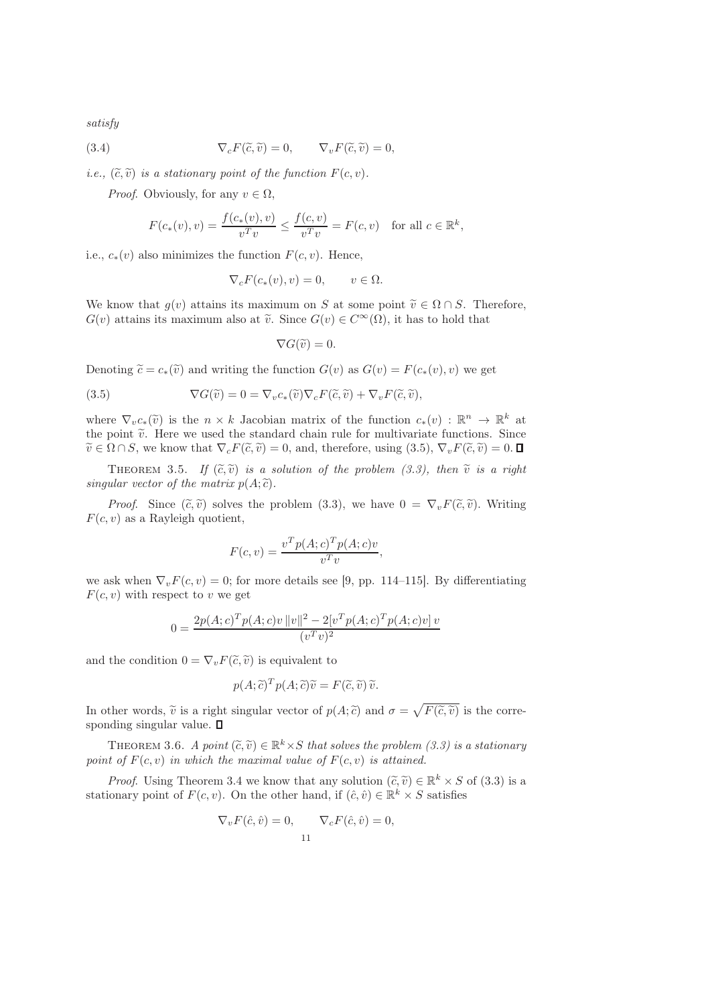satisfy

(3.4) 
$$
\nabla_c F(\tilde{c}, \tilde{v}) = 0, \qquad \nabla_v F(\tilde{c}, \tilde{v}) = 0,
$$

*i.e.*,  $(\widetilde{c}, \widetilde{v})$  *is a stationary point of the function F(c, v).* 

*Proof.* Obviously, for any  $v \in \Omega$ .

$$
F(c_*(v), v) = \frac{f(c_*(v), v)}{v^T v} \le \frac{f(c, v)}{v^T v} = F(c, v) \text{ for all } c \in \mathbb{R}^k,
$$

i.e.,  $c_*(v)$  also minimizes the function  $F(c, v)$ . Hence,

$$
\nabla_c F(c_*(v), v) = 0, \qquad v \in \Omega.
$$

We know that  $g(v)$  attains its maximum on S at some point  $\tilde{v} \in \Omega \cap S$ . Therefore,  $G(v)$  attains its maximum also at  $\tilde{v}$ . Since  $G(v) \in C^{\infty}(\Omega)$ , it has to hold that

$$
\nabla G(\widetilde{v})=0.
$$

Denoting  $\widetilde{c} = c_*(\widetilde{v})$  and writing the function  $G(v)$  as  $G(v) = F(c_*(v), v)$  we get

(3.5) 
$$
\nabla G(\widetilde{v}) = 0 = \nabla_v c_*(\widetilde{v}) \nabla_c F(\widetilde{c}, \widetilde{v}) + \nabla_v F(\widetilde{c}, \widetilde{v}),
$$

where  $\nabla_v c_*(\tilde{v})$  is the  $n \times k$  Jacobian matrix of the function  $c_*(v)$ :  $\mathbb{R}^n \to \mathbb{R}^k$  at the point  $\tilde{v}$ . Here we used the standard chain rule for multivariate functions. Since  $\widetilde{v} \in \Omega \cap S$ , we know that  $\nabla_c F(\widetilde{c}, \widetilde{v}) = 0$ , and, therefore, using  $(3.5)$ ,  $\nabla_v F(\widetilde{c}, \widetilde{v}) = 0$ .

THEOREM 3.5. If  $(\tilde{c}, \tilde{v})$  is a solution of the problem (3.3), then  $\tilde{v}$  is a right singular vector of the matrix  $p(A; \tilde{c})$ .

*Proof.* Since  $(\tilde{c}, \tilde{v})$  solves the problem (3.3), we have  $0 = \nabla_v F(\tilde{c}, \tilde{v})$ . Writing  $F(c, v)$  as a Rayleigh quotient,

$$
F(c, v) = \frac{v^T p(A; c)^T p(A; c)v}{v^T v},
$$

we ask when  $\nabla_v F(c, v) = 0$ ; for more details see [9, pp. 114–115]. By differentiating  $F(c, v)$  with respect to v we get

$$
0 = \frac{2p(A;c)^{T}p(A;c)v\,||v||^{2} - 2[v^{T}p(A;c)^{T}p(A;c)v]v}{(v^{T}v)^{2}}
$$

and the condition  $0 = \nabla_v F(\tilde{c}, \tilde{v})$  is equivalent to

$$
p(A; \tilde{c})^T p(A; \tilde{c}) \tilde{v} = F(\tilde{c}, \tilde{v}) \tilde{v}.
$$

In other words,  $\tilde{v}$  is a right singular vector of  $p(A; \tilde{c})$  and  $\sigma = \sqrt{F(\tilde{c}, \tilde{v})}$  is the corresponding singular value.  $\square$ 

THEOREM 3.6. A point  $(\tilde{c}, \tilde{v}) \in \mathbb{R}^k \times S$  that solves the problem (3.3) is a stationary point of  $F(c, v)$  in which the maximal value of  $F(c, v)$  is attained.

*Proof.* Using Theorem 3.4 we know that any solution  $(\tilde{c}, \tilde{v}) \in \mathbb{R}^k \times S$  of (3.3) is a stationary point of  $F(c, v)$ . On the other hand, if  $(\hat{c}, \hat{v}) \in \mathbb{R}^k \times S$  satisfies

$$
\nabla_v F(\hat{c}, \hat{v}) = 0, \qquad \nabla_c F(\hat{c}, \hat{v}) = 0,
$$
  
11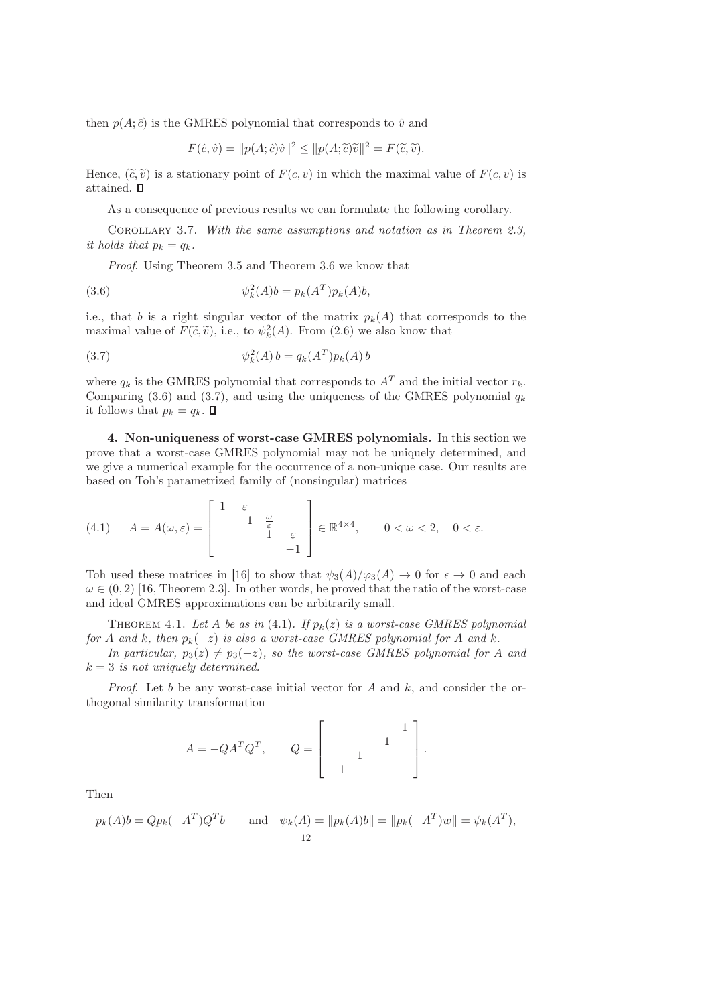then  $p(A; \hat{c})$  is the GMRES polynomial that corresponds to  $\hat{v}$  and

$$
F(\hat{c}, \hat{v}) = ||p(A; \hat{c})\hat{v}||^2 \le ||p(A; \tilde{c})\tilde{v}||^2 = F(\tilde{c}, \tilde{v}).
$$

Hence,  $(\tilde{c}, \tilde{v})$  is a stationary point of  $F(c, v)$  in which the maximal value of  $F(c, v)$  is attained.  $\Box$ 

As a consequence of previous results we can formulate the following corollary.

Corollary 3.7. With the same assumptions and notation as in Theorem 2.3, it holds that  $p_k = q_k$ .

Proof. Using Theorem 3.5 and Theorem 3.6 we know that

(3.6) 
$$
\psi_k^2(A)b = p_k(A^T)p_k(A)b,
$$

i.e., that b is a right singular vector of the matrix  $p_k(A)$  that corresponds to the maximal value of  $F(\tilde{c}, \tilde{v})$ , i.e., to  $\psi_k^2(A)$ . From (2.6) we also know that

(3.7) 
$$
\psi_k^2(A) b = q_k(A^T) p_k(A) b
$$

where  $q_k$  is the GMRES polynomial that corresponds to  $A<sup>T</sup>$  and the initial vector  $r_k$ . Comparing (3.6) and (3.7), and using the uniqueness of the GMRES polynomial  $q_k$ it follows that  $p_k = q_k$ .  $\Box$ 

4. Non-uniqueness of worst-case GMRES polynomials. In this section we prove that a worst-case GMRES polynomial may not be uniquely determined, and we give a numerical example for the occurrence of a non-unique case. Our results are based on Toh's parametrized family of (nonsingular) matrices

(4.1) 
$$
A = A(\omega, \varepsilon) = \begin{bmatrix} 1 & \varepsilon & & \\ & -1 & \frac{\omega}{\varepsilon} & \\ & & 1 & \varepsilon \\ & & & -1 \end{bmatrix} \in \mathbb{R}^{4 \times 4}, \qquad 0 < \omega < 2, \quad 0 < \varepsilon.
$$

Toh used these matrices in [16] to show that  $\psi_3(A)/\varphi_3(A) \to 0$  for  $\epsilon \to 0$  and each  $\omega \in (0, 2)$  [16, Theorem 2.3]. In other words, he proved that the ratio of the worst-case and ideal GMRES approximations can be arbitrarily small.

THEOREM 4.1. Let A be as in (4.1). If  $p_k(z)$  is a worst-case GMRES polynomial for A and k, then  $p_k(-z)$  is also a worst-case GMRES polynomial for A and k.

In particular,  $p_3(z) \neq p_3(-z)$ , so the worst-case GMRES polynomial for A and  $k = 3$  is not uniquely determined.

*Proof.* Let b be any worst-case initial vector for A and k, and consider the orthogonal similarity transformation

$$
A = -QA^{T}Q^{T}, \t Q = \begin{bmatrix} 1 \\ 1 \end{bmatrix}.
$$

Then

$$
p_k(A)b = Qp_k(-A^T)Q^Tb
$$
 and  $\psi_k(A) = ||p_k(A)b|| = ||p_k(-A^T)w|| = \psi_k(A^T),$   
12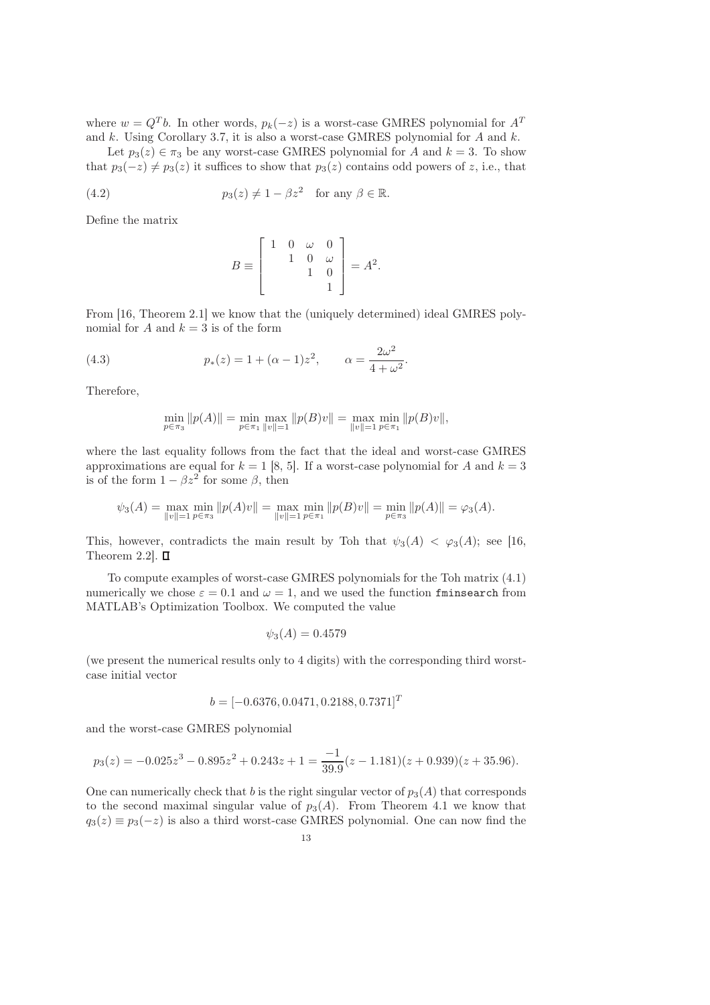where  $w = Q^T b$ . In other words,  $p_k(-z)$  is a worst-case GMRES polynomial for  $A^T$ and  $k$ . Using Corollary 3.7, it is also a worst-case GMRES polynomial for  $A$  and  $k$ .

Let  $p_3(z) \in \pi_3$  be any worst-case GMRES polynomial for A and  $k = 3$ . To show that  $p_3(-z) \neq p_3(z)$  it suffices to show that  $p_3(z)$  contains odd powers of z, i.e., that

(4.2) 
$$
p_3(z) \neq 1 - \beta z^2 \quad \text{for any } \beta \in \mathbb{R}.
$$

Define the matrix

$$
B \equiv \begin{bmatrix} 1 & 0 & \omega & 0 \\ & 1 & 0 & \omega \\ & & 1 & 0 \\ & & & 1 \end{bmatrix} = A^2.
$$

From [16, Theorem 2.1] we know that the (uniquely determined) ideal GMRES polynomial for A and  $k = 3$  is of the form

(4.3) 
$$
p_*(z) = 1 + (\alpha - 1)z^2, \qquad \alpha = \frac{2\omega^2}{4 + \omega^2}.
$$

Therefore,

$$
\min_{p \in \pi_3} ||p(A)|| = \min_{p \in \pi_1} \max_{||v||=1} ||p(B)v|| = \max_{||v||=1} \min_{p \in \pi_1} ||p(B)v||,
$$

where the last equality follows from the fact that the ideal and worst-case GMRES approximations are equal for  $k = 1$  [8, 5]. If a worst-case polynomial for A and  $k = 3$ is of the form  $1 - \beta z^2$  for some  $\beta$ , then

$$
\psi_3(A) = \max_{\|v\|=1} \min_{p \in \pi_3} \|p(A)v\| = \max_{\|v\|=1} \min_{p \in \pi_1} \|p(B)v\| = \min_{p \in \pi_3} \|p(A)\| = \varphi_3(A).
$$

This, however, contradicts the main result by Toh that  $\psi_3(A) < \varphi_3(A)$ ; see [16, Theorem 2.2].  $\square$ 

To compute examples of worst-case GMRES polynomials for the Toh matrix (4.1) numerically we chose  $\varepsilon = 0.1$  and  $\omega = 1$ , and we used the function finings arch from MATLAB's Optimization Toolbox. We computed the value

$$
\psi_3(A) = 0.4579
$$

(we present the numerical results only to 4 digits) with the corresponding third worstcase initial vector

$$
b = [-0.6376, 0.0471, 0.2188, 0.7371]^T
$$

and the worst-case GMRES polynomial

$$
p_3(z) = -0.025z^3 - 0.895z^2 + 0.243z + 1 = \frac{-1}{39.9}(z - 1.181)(z + 0.939)(z + 35.96).
$$

One can numerically check that b is the right singular vector of  $p_3(A)$  that corresponds to the second maximal singular value of  $p_3(A)$ . From Theorem 4.1 we know that  $q_3(z) \equiv p_3(-z)$  is also a third worst-case GMRES polynomial. One can now find the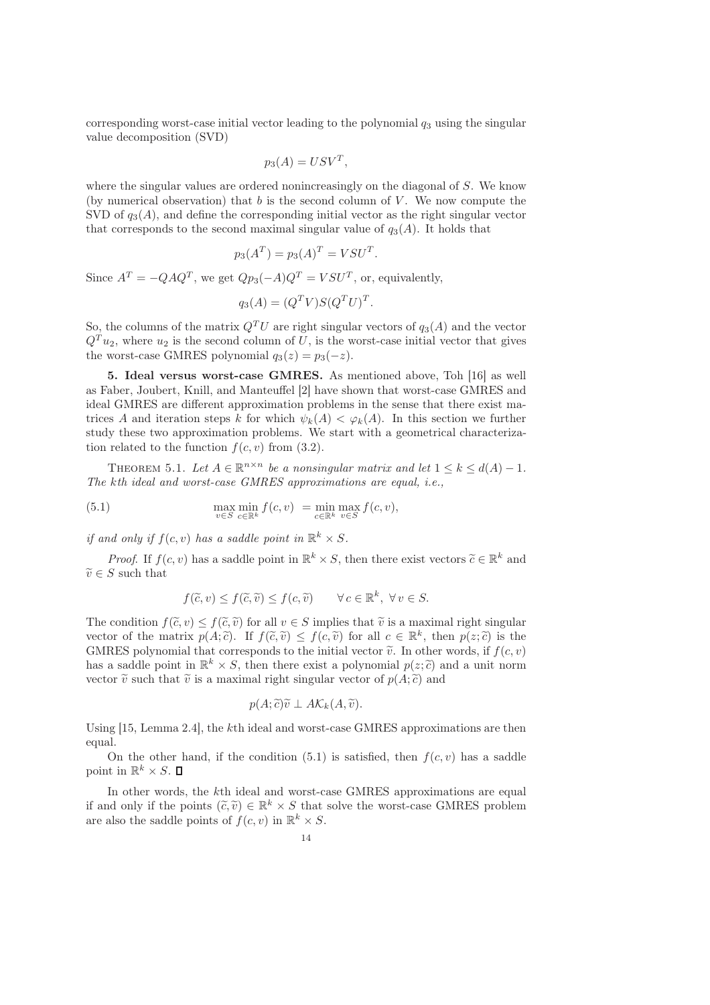corresponding worst-case initial vector leading to the polynomial  $q_3$  using the singular value decomposition (SVD)

$$
p_3(A) = USV^T,
$$

where the singular values are ordered nonincreasingly on the diagonal of S. We know (by numerical observation) that  $b$  is the second column of  $V$ . We now compute the SVD of  $q_3(A)$ , and define the corresponding initial vector as the right singular vector that corresponds to the second maximal singular value of  $q_3(A)$ . It holds that

$$
p_3(A^T) = p_3(A)^T = V S U^T.
$$

Since  $A^T = -QAQ^T$ , we get  $Qp_3(-A)Q^T = VSU^T$ , or, equivalently,

$$
q_3(A) = (Q^T V) S (Q^T U)^T.
$$

So, the columns of the matrix  $Q^T U$  are right singular vectors of  $q_3(A)$  and the vector  $Q^T u_2$ , where  $u_2$  is the second column of U, is the worst-case initial vector that gives the worst-case GMRES polynomial  $q_3(z) = p_3(-z)$ .

5. Ideal versus worst-case GMRES. As mentioned above, Toh [16] as well as Faber, Joubert, Knill, and Manteuffel [2] have shown that worst-case GMRES and ideal GMRES are different approximation problems in the sense that there exist matrices A and iteration steps k for which  $\psi_k(A) < \varphi_k(A)$ . In this section we further study these two approximation problems. We start with a geometrical characterization related to the function  $f(c, v)$  from (3.2).

THEOREM 5.1. Let  $A \in \mathbb{R}^{n \times n}$  be a nonsingular matrix and let  $1 \leq k \leq d(A) - 1$ . The kth ideal and worst-case GMRES approximations are equal, i.e.,

(5.1) 
$$
\max_{v \in S} \min_{c \in \mathbb{R}^k} f(c, v) = \min_{c \in \mathbb{R}^k} \max_{v \in S} f(c, v),
$$

if and only if  $f(c, v)$  has a saddle point in  $\mathbb{R}^k \times S$ .

*Proof.* If  $f(c, v)$  has a saddle point in  $\mathbb{R}^k \times S$ , then there exist vectors  $\widetilde{c} \in \mathbb{R}^k$  and  $\widetilde{v} \in S$  such that

$$
f(\widetilde{c}, v) \le f(\widetilde{c}, \widetilde{v}) \le f(c, \widetilde{v}) \qquad \forall c \in \mathbb{R}^k, \ \forall v \in S.
$$

The condition  $f(\tilde{c}, v) \leq f(\tilde{c}, \tilde{v})$  for all  $v \in S$  implies that  $\tilde{v}$  is a maximal right singular vector of the matrix  $p(A; \tilde{c})$ . If  $f(\tilde{c}, \tilde{v}) \leq f(c, \tilde{v})$  for all  $c \in \mathbb{R}^k$ , then  $p(z; \tilde{c})$  is the GMRES polynomial that corresponds to the initial vector  $\tilde{v}$ . In other words, if  $f(c, v)$ has a saddle point in  $\mathbb{R}^k \times S$ , then there exist a polynomial  $p(z; \tilde{c})$  and a unit norm vector  $\tilde{v}$  such that  $\tilde{v}$  is a maximal right singular vector of  $p(A; \tilde{c})$  and

$$
p(A;\widetilde{c})\widetilde{v}\perp A\mathcal{K}_k(A,\widetilde{v}).
$$

Using [15, Lemma 2.4], the kth ideal and worst-case GMRES approximations are then equal.

On the other hand, if the condition (5.1) is satisfied, then  $f(c, v)$  has a saddle point in  $\mathbb{R}^k \times S$ .

In other words, the kth ideal and worst-case GMRES approximations are equal if and only if the points  $(\tilde{c}, \tilde{v}) \in \mathbb{R}^k \times S$  that solve the worst-case GMRES problem are also the saddle points of  $f(c, v)$  in  $\mathbb{R}^k \times S$ .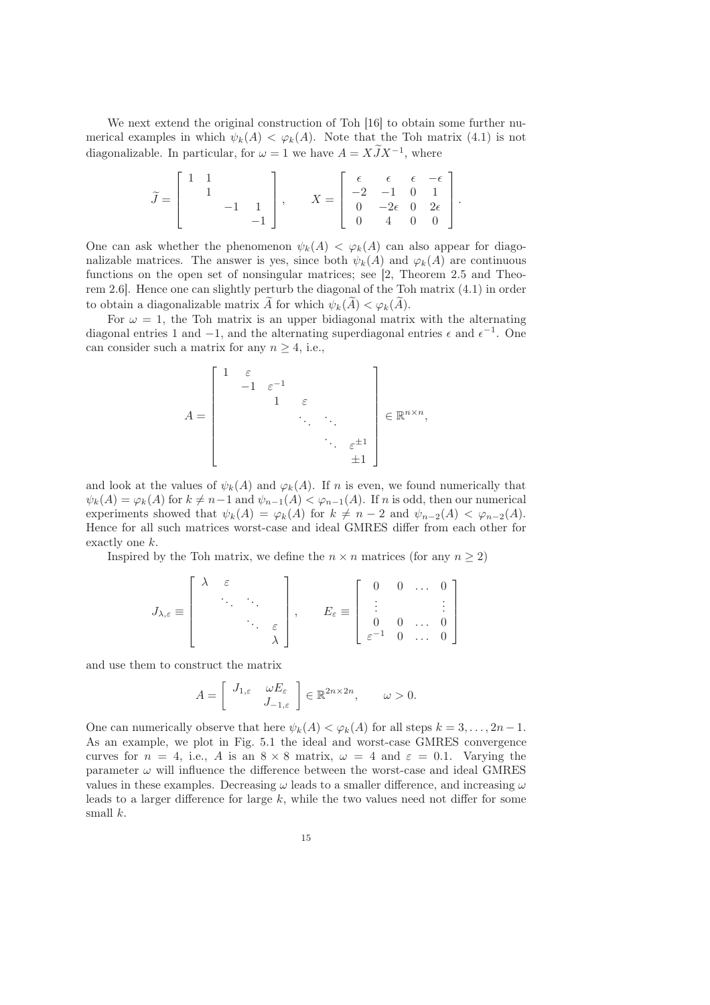We next extend the original construction of Toh [16] to obtain some further numerical examples in which  $\psi_k(A) < \varphi_k(A)$ . Note that the Toh matrix (4.1) is not diagonalizable. In particular, for  $\omega = 1$  we have  $A = XJX^{-1}$ , where

$$
\widetilde{J} = \begin{bmatrix} 1 & 1 & & \\ & 1 & & \\ & & -1 & 1 \\ & & & -1 \end{bmatrix}, \qquad X = \begin{bmatrix} \epsilon & \epsilon & \epsilon & -\epsilon \\ -2 & -1 & 0 & 1 \\ 0 & -2\epsilon & 0 & 2\epsilon \\ 0 & 4 & 0 & 0 \end{bmatrix}.
$$

One can ask whether the phenomenon  $\psi_k(A) < \varphi_k(A)$  can also appear for diagonalizable matrices. The answer is yes, since both  $\psi_k(A)$  and  $\varphi_k(A)$  are continuous functions on the open set of nonsingular matrices; see [2, Theorem 2.5 and Theorem 2.6]. Hence one can slightly perturb the diagonal of the Toh matrix (4.1) in order to obtain a diagonalizable matrix  $\widetilde{A}$  for which  $\psi_k(\widetilde{A}) < \varphi_k(\widetilde{A})$ .

For  $\omega = 1$ , the Toh matrix is an upper bidiagonal matrix with the alternating diagonal entries 1 and  $-1$ , and the alternating superdiagonal entries  $\epsilon$  and  $\epsilon^{-1}$ . One can consider such a matrix for any  $n \geq 4$ , i.e.,

$$
A = \begin{bmatrix} 1 & \varepsilon & & & \\ & -1 & \varepsilon^{-1} & & \\ & & 1 & \varepsilon & \\ & & & \ddots & \vdots \\ & & & & \ddots & \varepsilon^{\pm 1} \\ & & & & \ddots & \varepsilon^{\pm 1} \\ & & & & & \varepsilon^{\pm 1} \end{bmatrix} \in \mathbb{R}^{n \times n},
$$

and look at the values of  $\psi_k(A)$  and  $\varphi_k(A)$ . If n is even, we found numerically that  $\psi_k(A) = \varphi_k(A)$  for  $k \neq n-1$  and  $\psi_{n-1}(A) < \varphi_{n-1}(A)$ . If n is odd, then our numerical experiments showed that  $\psi_k(A) = \varphi_k(A)$  for  $k \neq n-2$  and  $\psi_{n-2}(A) < \varphi_{n-2}(A)$ . Hence for all such matrices worst-case and ideal GMRES differ from each other for exactly one k.

Inspired by the Toh matrix, we define the  $n \times n$  matrices (for any  $n \geq 2$ )

$$
J_{\lambda,\varepsilon} \equiv \left[\begin{array}{cccc} \lambda & \varepsilon & & \\ & \ddots & \ddots & \\ & & \ddots & \varepsilon \\ & & & \lambda \end{array}\right], \qquad E_{\varepsilon} \equiv \left[\begin{array}{cccc} 0 & 0 & \dots & 0 \\ \vdots & & & \vdots \\ 0 & 0 & \dots & 0 \\ \varepsilon^{-1} & 0 & \dots & 0 \end{array}\right]
$$

and use them to construct the matrix

$$
A = \begin{bmatrix} J_{1,\varepsilon} & \omega E_{\varepsilon} \\ J_{-1,\varepsilon} \end{bmatrix} \in \mathbb{R}^{2n \times 2n}, \qquad \omega > 0.
$$

One can numerically observe that here  $\psi_k(A) < \varphi_k(A)$  for all steps  $k = 3, \ldots, 2n - 1$ . As an example, we plot in Fig. 5.1 the ideal and worst-case GMRES convergence curves for  $n = 4$ , i.e., A is an  $8 \times 8$  matrix,  $\omega = 4$  and  $\varepsilon = 0.1$ . Varying the parameter  $\omega$  will influence the difference between the worst-case and ideal GMRES values in these examples. Decreasing  $\omega$  leads to a smaller difference, and increasing  $\omega$ leads to a larger difference for large  $k$ , while the two values need not differ for some small  $k$ .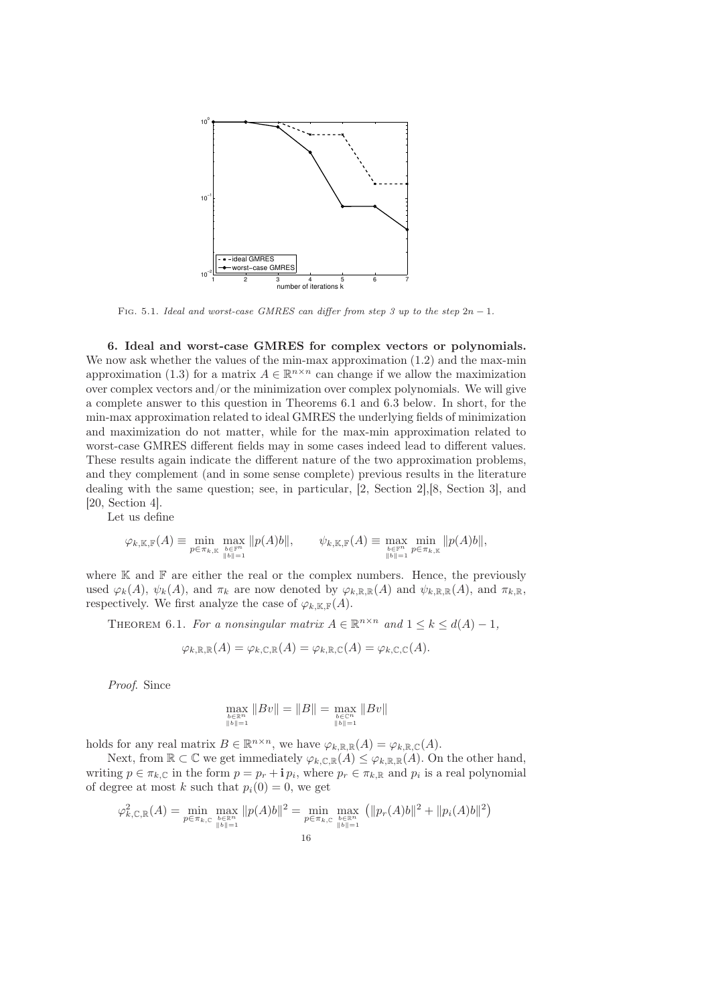

FIG. 5.1. Ideal and worst-case GMRES can differ from step 3 up to the step  $2n - 1$ .

6. Ideal and worst-case GMRES for complex vectors or polynomials. We now ask whether the values of the min-max approximation  $(1.2)$  and the max-min approximation (1.3) for a matrix  $A \in \mathbb{R}^{n \times n}$  can change if we allow the maximization over complex vectors and/or the minimization over complex polynomials. We will give a complete answer to this question in Theorems 6.1 and 6.3 below. In short, for the min-max approximation related to ideal GMRES the underlying fields of minimization and maximization do not matter, while for the max-min approximation related to worst-case GMRES different fields may in some cases indeed lead to different values. These results again indicate the different nature of the two approximation problems, and they complement (and in some sense complete) previous results in the literature dealing with the same question; see, in particular, [2, Section 2],[8, Section 3], and [20, Section 4].

Let us define

$$
\varphi_{k,\mathbb{K},\mathbb{F}}(A) \equiv \min_{p \in \pi_{k,\mathbb{K}}} \max_{\substack{b \in \mathbb{F}^n \\ \|b\|=1}} \|p(A)b\|, \qquad \psi_{k,\mathbb{K},\mathbb{F}}(A) \equiv \max_{\substack{b \in \mathbb{F}^n \\ \|b\|=1}} \min_{p \in \pi_{k,\mathbb{K}}} \|p(A)b\|,
$$

where  $K$  and  $F$  are either the real or the complex numbers. Hence, the previously used  $\varphi_k(A)$ ,  $\psi_k(A)$ , and  $\pi_k$  are now denoted by  $\varphi_{k,\mathbb{R},\mathbb{R}}(A)$  and  $\psi_{k,\mathbb{R},\mathbb{R}}(A)$ , and  $\pi_{k,\mathbb{R}}$ , respectively. We first analyze the case of  $\varphi_{k,\mathbb{K},\mathbb{F}}(A)$ .

THEOREM 6.1. For a nonsingular matrix  $A \in \mathbb{R}^{n \times n}$  and  $1 \leq k \leq d(A) - 1$ ,

$$
\varphi_{k,\mathbb{R},\mathbb{R}}(A) = \varphi_{k,\mathbb{C},\mathbb{R}}(A) = \varphi_{k,\mathbb{R},\mathbb{C}}(A) = \varphi_{k,\mathbb{C},\mathbb{C}}(A).
$$

Proof. Since

$$
\max_{\substack{b \in \mathbb{R}^n \\ \|b\|=1}} \|Bv\| = \|B\| = \max_{\substack{b \in \mathbb{C}^n \\ \|b\|=1}} \|Bv\|
$$

holds for any real matrix  $B \in \mathbb{R}^{n \times n}$ , we have  $\varphi_{k,\mathbb{R},\mathbb{R}}(A) = \varphi_{k,\mathbb{R},\mathbb{C}}(A)$ .

Next, from  $\mathbb{R} \subset \mathbb{C}$  we get immediately  $\varphi_{k,\mathbb{C},\mathbb{R}}(A) \leq \varphi_{k,\mathbb{R},\mathbb{R}}(A)$ . On the other hand, writing  $p \in \pi_{k,\mathbb{C}}$  in the form  $p = p_r + \mathbf{i} p_i$ , where  $p_r \in \pi_{k,\mathbb{R}}$  and  $p_i$  is a real polynomial of degree at most k such that  $p_i(0) = 0$ , we get

$$
\varphi_{k,\mathbb{C},\mathbb{R}}^2(A) = \min_{p \in \pi_{k,\mathbb{C}}} \max_{\substack{b \in \mathbb{R}^n \\ \|b\| = 1}} \|p(A)b\|^2 = \min_{p \in \pi_{k,\mathbb{C}}} \max_{\substack{b \in \mathbb{R}^n \\ \|b\| = 1}} \left( \|p_r(A)b\|^2 + \|p_i(A)b\|^2 \right)
$$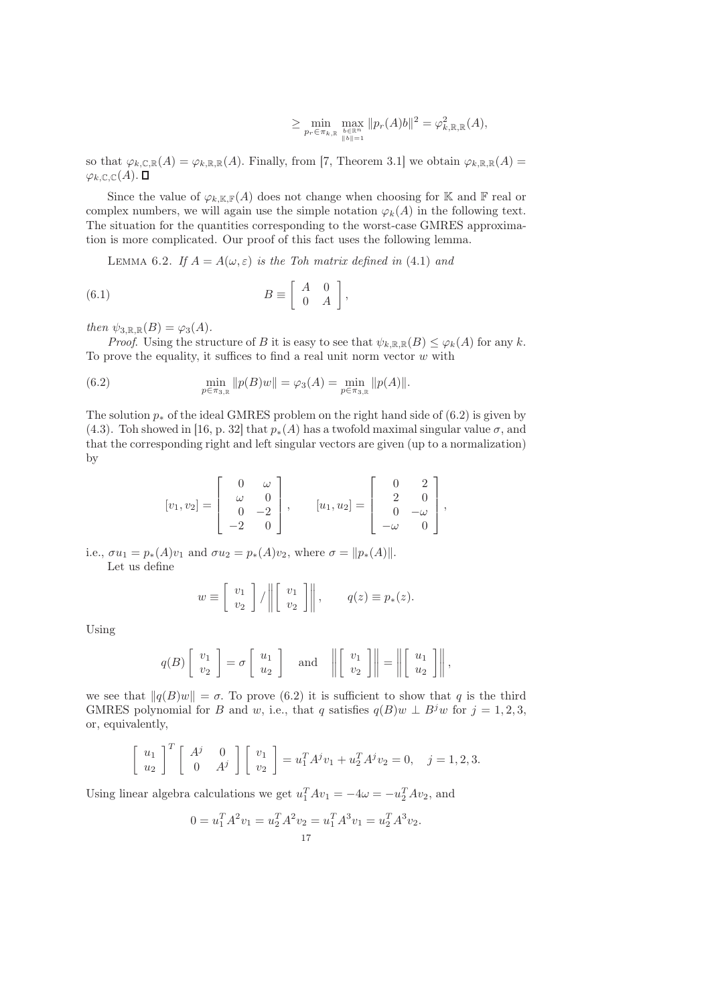$$
\geq \min_{p_r \in \pi_{k,\mathbb{R}} \max_{\substack{b \in \mathbb{R}^n \\ \|b\|=1}} \|p_r(A)b\|^2 = \varphi_{k,\mathbb{R},\mathbb{R}}^2(A),
$$

so that  $\varphi_{k,\mathbb{C},\mathbb{R}}(A) = \varphi_{k,\mathbb{R},\mathbb{R}}(A)$ . Finally, from [7, Theorem 3.1] we obtain  $\varphi_{k,\mathbb{R},\mathbb{R}}(A) =$  $\varphi_{k,\mathbb{C},\mathbb{C}}(A)$ .  $\square$ 

Since the value of  $\varphi_{k,\mathbb{K},\mathbb{F}}(A)$  does not change when choosing for K and F real or complex numbers, we will again use the simple notation  $\varphi_k(A)$  in the following text. The situation for the quantities corresponding to the worst-case GMRES approximation is more complicated. Our proof of this fact uses the following lemma.

LEMMA 6.2. If  $A = A(\omega, \varepsilon)$  is the Toh matrix defined in (4.1) and

(6.1) 
$$
B \equiv \left[ \begin{array}{cc} A & 0 \\ 0 & A \end{array} \right],
$$

then  $\psi_{3,\mathbb{R},\mathbb{R}}(B) = \varphi_3(A)$ .

*Proof.* Using the structure of B it is easy to see that  $\psi_{k,\mathbb{R},\mathbb{R}}(B) \leq \varphi_k(A)$  for any k. To prove the equality, it suffices to find a real unit norm vector  $w$  with

(6.2) 
$$
\min_{p \in \pi_{3,\mathbb{R}}} ||p(B)w|| = \varphi_3(A) = \min_{p \in \pi_{3,\mathbb{R}}} ||p(A)||.
$$

The solution  $p_*$  of the ideal GMRES problem on the right hand side of (6.2) is given by (4.3). Toh showed in [16, p. 32] that  $p_*(A)$  has a twofold maximal singular value  $\sigma$ , and that the corresponding right and left singular vectors are given (up to a normalization) by

$$
[v_1, v_2] = \begin{bmatrix} 0 & \omega \\ \omega & 0 \\ 0 & -2 \\ -2 & 0 \end{bmatrix}, \qquad [u_1, u_2] = \begin{bmatrix} 0 & 2 \\ 2 & 0 \\ 0 & -\omega \\ -\omega & 0 \end{bmatrix},
$$

i.e.,  $\sigma u_1 = p_*(A)v_1$  and  $\sigma u_2 = p_*(A)v_2$ , where  $\sigma = ||p_*(A)||$ . Let us define

$$
w \equiv \begin{bmatrix} v_1 \\ v_2 \end{bmatrix} / \left\| \begin{bmatrix} v_1 \\ v_2 \end{bmatrix} \right\|, \qquad q(z) \equiv p_*(z).
$$

Using

$$
q(B)\left[\begin{array}{c}v_1\\v_2\end{array}\right]=\sigma\left[\begin{array}{c}u_1\\u_2\end{array}\right]\quad\text{and}\quad\left\|\left[\begin{array}{c}v_1\\v_2\end{array}\right]\right\|=\left\|\left[\begin{array}{c}u_1\\u_2\end{array}\right]\right\|,
$$

we see that  $||q(B)w|| = \sigma$ . To prove (6.2) it is sufficient to show that q is the third GMRES polynomial for B and w, i.e., that q satisfies  $q(B)w \perp B^jw$  for  $j = 1, 2, 3$ , or, equivalently,

$$
\begin{bmatrix} u_1 \\ u_2 \end{bmatrix}^T \begin{bmatrix} A^j & 0 \\ 0 & A^j \end{bmatrix} \begin{bmatrix} v_1 \\ v_2 \end{bmatrix} = u_1^T A^j v_1 + u_2^T A^j v_2 = 0, \quad j = 1, 2, 3.
$$

Using linear algebra calculations we get  $u_1^T A v_1 = -4\omega = -u_2^T A v_2$ , and

$$
0 = u_1^T A^2 v_1 = u_2^T A^2 v_2 = u_1^T A^3 v_1 = u_2^T A^3 v_2.
$$
  
17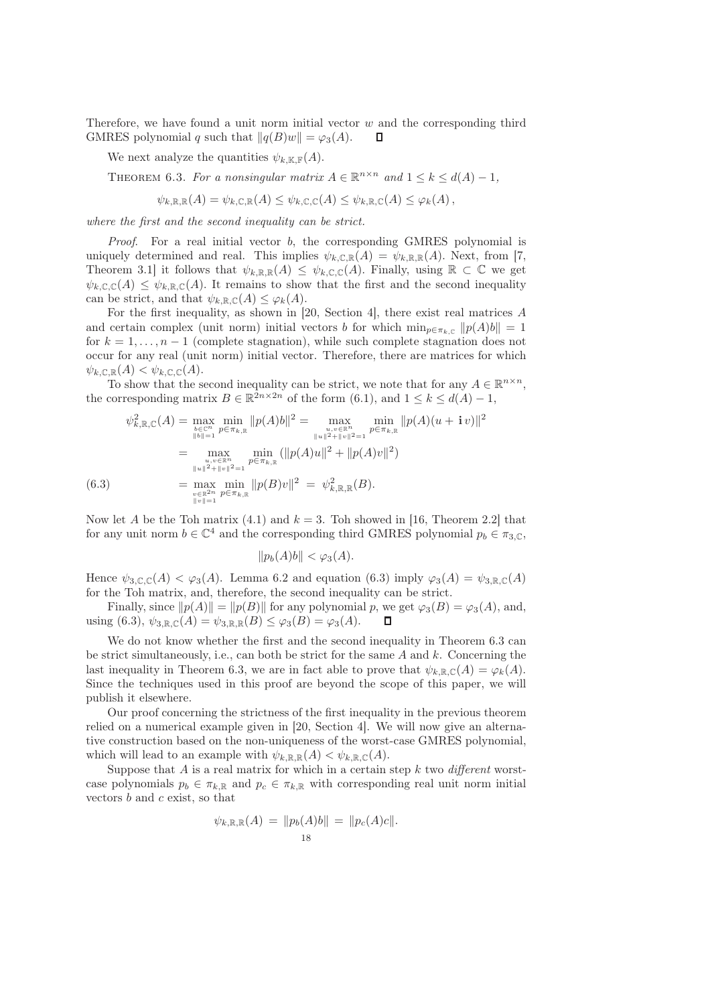Therefore, we have found a unit norm initial vector  $w$  and the corresponding third GMRES polynomial q such that  $||q(B)w|| = \varphi_3(A)$ .  $\Box$ 

We next analyze the quantities  $\psi_{k,\mathbb{K},\mathbb{F}}(A)$ .

THEOREM 6.3. For a nonsingular matrix  $A \in \mathbb{R}^{n \times n}$  and  $1 \leq k \leq d(A) - 1$ ,

$$
\psi_{k,\mathbb{R},\mathbb{R}}(A) = \psi_{k,\mathbb{C},\mathbb{R}}(A) \leq \psi_{k,\mathbb{C},\mathbb{C}}(A) \leq \psi_{k,\mathbb{R},\mathbb{C}}(A) \leq \varphi_k(A),
$$

where the first and the second inequality can be strict.

*Proof.* For a real initial vector  $b$ , the corresponding GMRES polynomial is uniquely determined and real. This implies  $\psi_{k,\mathbb{C},\mathbb{R}}(A) = \psi_{k,\mathbb{R},\mathbb{R}}(A)$ . Next, from [7, Theorem 3.1] it follows that  $\psi_{k,\mathbb{R},\mathbb{R}}(A) \leq \psi_{k,\mathbb{C},\mathbb{C}}(A)$ . Finally, using  $\mathbb{R} \subset \mathbb{C}$  we get  $\psi_{k,\mathbb{C},\mathbb{C}}(A) \leq \psi_{k,\mathbb{R},\mathbb{C}}(A)$ . It remains to show that the first and the second inequality can be strict, and that  $\psi_{k,\mathbb{R},\mathbb{C}}(A) \leq \varphi_k(A)$ .

For the first inequality, as shown in [20, Section 4], there exist real matrices A and certain complex (unit norm) initial vectors b for which  $\min_{p \in \pi_{k,\mathbb{C}}} ||p(A)b|| = 1$ for  $k = 1, \ldots, n - 1$  (complete stagnation), while such complete stagnation does not occur for any real (unit norm) initial vector. Therefore, there are matrices for which  $\psi_{k,\mathbb{C},\mathbb{R}}(A) < \psi_{k,\mathbb{C},\mathbb{C}}(A).$ 

To show that the second inequality can be strict, we note that for any  $A \in \mathbb{R}^{n \times n}$ , the corresponding matrix  $B \in \mathbb{R}^{2n \times 2n}$  of the form  $(6.1)$ , and  $1 \leq k \leq d(A) - 1$ ,

$$
\psi_{k,\mathbb{R},\mathbb{C}}^{2}(A) = \max_{\substack{b \in \mathbb{C}^{n} \\ \|b\|=1}} \min_{p \in \pi_{k,\mathbb{R}}} ||p(A)b||^{2} = \max_{\substack{u,v \in \mathbb{R}^{n} \\ \|u\|^{2}+ \|v\|^{2}=1}} \min_{p \in \pi_{k,\mathbb{R}}} ||p(A)(u + iv)||^{2}
$$

$$
= \max_{\substack{u,v \in \mathbb{R}^{n} \\ \|u\|^{2}+\|v\|^{2}=1}} \min_{p \in \pi_{k,\mathbb{R}}} (||p(A)u||^{2} + ||p(A)v||^{2})
$$

$$
(6.3) = \max_{\substack{v \in \mathbb{R}^{2n} \\ \|v\|=1}} \min_{p \in \pi_{k,\mathbb{R}}} ||p(B)v||^{2} = \psi_{k,\mathbb{R},\mathbb{R}}^{2}(B).
$$

Now let A be the Toh matrix (4.1) and  $k = 3$ . Toh showed in [16, Theorem 2.2] that for any unit norm  $b \in \mathbb{C}^4$  and the corresponding third GMRES polynomial  $p_b \in \pi_{3,\mathbb{C}}$ ,

$$
||p_b(A)b|| < \varphi_3(A).
$$

Hence  $\psi_{3,\mathbb{C},\mathbb{C}}(A) < \varphi_3(A)$ . Lemma 6.2 and equation (6.3) imply  $\varphi_3(A) = \psi_{3,\mathbb{R},\mathbb{C}}(A)$ for the Toh matrix, and, therefore, the second inequality can be strict.

Finally, since  $||p(A)|| = ||p(B)||$  for any polynomial p, we get  $\varphi_3(B) = \varphi_3(A)$ , and, using (6.3),  $\psi_{3,\mathbb{R},\mathbb{C}}(A) = \psi_{3,\mathbb{R},\mathbb{R}}(B) \leq \varphi_3(B) = \varphi_3(A).$ Л

We do not know whether the first and the second inequality in Theorem 6.3 can be strict simultaneously, i.e., can both be strict for the same  $A$  and  $k$ . Concerning the last inequality in Theorem 6.3, we are in fact able to prove that  $\psi_{k,\mathbb{R},\mathbb{C}}(A) = \varphi_k(A)$ . Since the techniques used in this proof are beyond the scope of this paper, we will publish it elsewhere.

Our proof concerning the strictness of the first inequality in the previous theorem relied on a numerical example given in [20, Section 4]. We will now give an alternative construction based on the non-uniqueness of the worst-case GMRES polynomial, which will lead to an example with  $\psi_{k,\mathbb{R},\mathbb{R}}(A) < \psi_{k,\mathbb{R},\mathbb{C}}(A)$ .

Suppose that A is a real matrix for which in a certain step k two different worstcase polynomials  $p_b \in \pi_{k,\mathbb{R}}$  and  $p_c \in \pi_{k,\mathbb{R}}$  with corresponding real unit norm initial vectors  $b$  and  $c$  exist, so that

$$
\psi_{k,\mathbb{R},\mathbb{R}}(A) = ||p_b(A)b|| = ||p_c(A)c||.
$$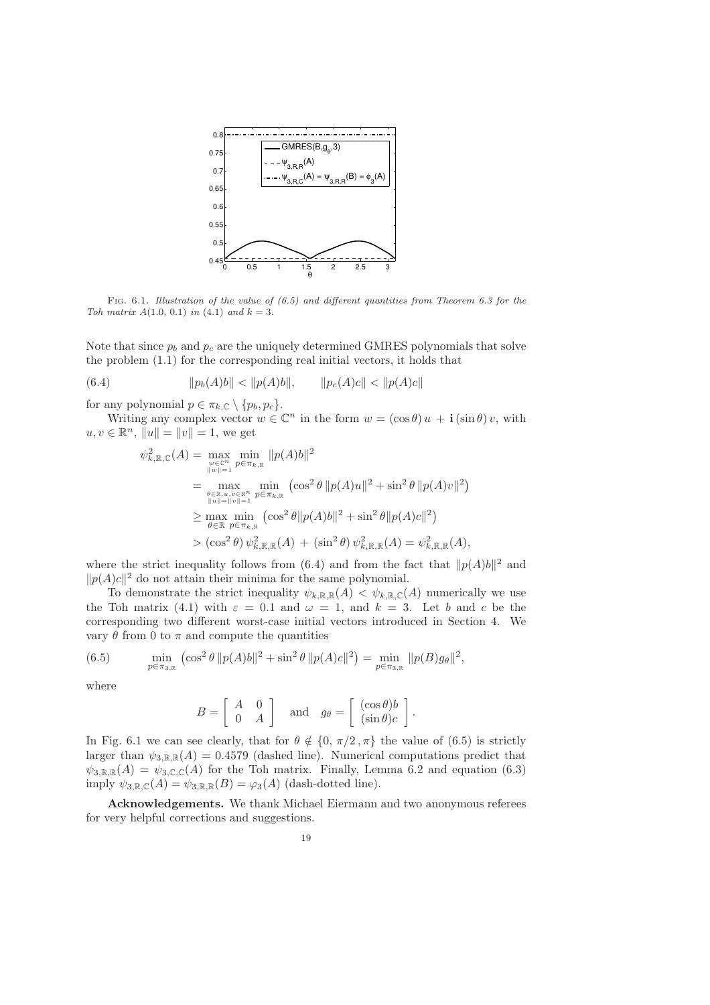

Fig. 6.1. Illustration of the value of  $(6.5)$  and different quantities from Theorem 6.3 for the Toh matrix  $A(1.0, 0.1)$  in  $(4.1)$  and  $k = 3$ .

Note that since  $p_b$  and  $p_c$  are the uniquely determined GMRES polynomials that solve the problem (1.1) for the corresponding real initial vectors, it holds that

(6.4) 
$$
||p_b(A)b|| < ||p(A)b||, \qquad ||p_c(A)c|| < ||p(A)c||
$$

for any polynomial  $p \in \pi_{k,\mathbb{C}} \setminus \{p_b, p_c\}.$ 

Writing any complex vector  $w \in \mathbb{C}^n$  in the form  $w = (\cos \theta) u + \mathbf{i} (\sin \theta) v$ , with  $u, v \in \mathbb{R}^n$ ,  $||u|| = ||v|| = 1$ , we get

$$
\psi_{k,\mathbb{R},\mathbb{C}}^{2}(A) = \max_{w \in \mathbb{C}^{n} \atop \|w\|=1} \min_{p \in \pi_{k,\mathbb{R}}} \|p(A)b\|^{2}
$$
  
\n
$$
= \max_{\substack{\theta \in \mathbb{R}, u, v \in \mathbb{R}^{n} \atop \|u\|=\|v\|=1}} \min_{p \in \pi_{k,\mathbb{R}}} (\cos^{2} \theta \|p(A)u\|^{2} + \sin^{2} \theta \|p(A)v\|^{2})
$$
  
\n
$$
\geq \max_{\theta \in \mathbb{R}} \min_{p \in \pi_{k,\mathbb{R}}} (\cos^{2} \theta \|p(A)b\|^{2} + \sin^{2} \theta \|p(A)c\|^{2})
$$
  
\n
$$
> (\cos^{2} \theta) \psi_{k,\mathbb{R},\mathbb{R}}^{2}(A) + (\sin^{2} \theta) \psi_{k,\mathbb{R},\mathbb{R}}^{2}(A) = \psi_{k,\mathbb{R},\mathbb{R}}^{2}(A),
$$

where the strict inequality follows from  $(6.4)$  and from the fact that  $||p(A)b||^2$  and  $||p(A)c||^2$  do not attain their minima for the same polynomial.

To demonstrate the strict inequality  $\psi_{k,\mathbb{R},\mathbb{R}}(A) < \psi_{k,\mathbb{R},\mathbb{C}}(A)$  numerically we use the Toh matrix (4.1) with  $\varepsilon = 0.1$  and  $\omega = 1$ , and  $k = 3$ . Let b and c be the corresponding two different worst-case initial vectors introduced in Section 4. We vary θ from 0 to π and compute the quantities

(6.5) 
$$
\min_{p \in \pi_{3,\mathbb{R}}} \left( \cos^2 \theta \, \|p(A)b\|^2 + \sin^2 \theta \, \|p(A)c\|^2 \right) = \min_{p \in \pi_{3,\mathbb{R}}} \|p(B)g_{\theta}\|^2,
$$

where

$$
B = \left[ \begin{array}{cc} A & 0 \\ 0 & A \end{array} \right] \quad \text{and} \quad g_{\theta} = \left[ \begin{array}{c} (\cos \theta) b \\ (\sin \theta) c \end{array} \right].
$$

In Fig. 6.1 we can see clearly, that for  $\theta \notin \{0, \pi/2, \pi\}$  the value of (6.5) is strictly larger than  $\psi_{3,\mathbb{R},\mathbb{R}}(A) = 0.4579$  (dashed line). Numerical computations predict that  $\psi_{3,\mathbb{R},\mathbb{R}}(A) = \psi_{3,\mathbb{C},\mathbb{C}}(A)$  for the Toh matrix. Finally, Lemma 6.2 and equation (6.3) imply  $\psi_{3,\mathbb{R},\mathbb{C}}(A) = \psi_{3,\mathbb{R},\mathbb{R}}(B) = \varphi_3(A)$  (dash-dotted line).

Acknowledgements. We thank Michael Eiermann and two anonymous referees for very helpful corrections and suggestions.